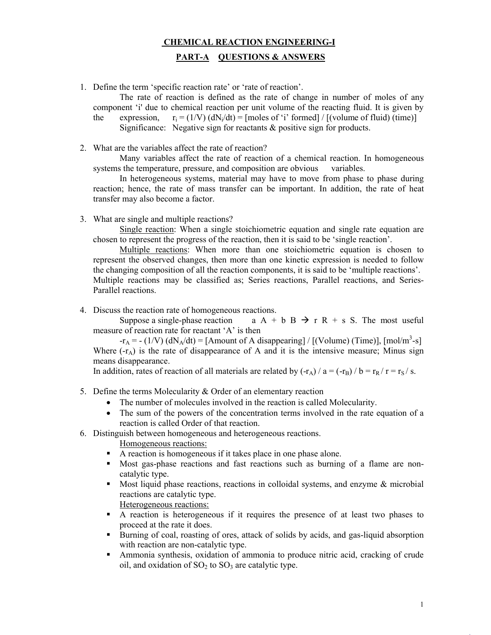## **CHEMICAL REACTION ENGINEERING-I**

# **PART-A QUESTIONS & ANSWERS**

1. Define the term 'specific reaction rate' or 'rate of reaction'.

The rate of reaction is defined as the rate of change in number of moles of any component 'i' due to chemical reaction per unit volume of the reacting fluid. It is given by the expression,  $r_i = (1/V)$  (dN<sub>i</sub>/dt) = [moles of 'i' formed] / [(volume of fluid) (time)] Significance: Negative sign for reactants & positive sign for products.

2. What are the variables affect the rate of reaction?

Many variables affect the rate of reaction of a chemical reaction. In homogeneous systems the temperature, pressure, and composition are obvious variables.

In heterogeneous systems, material may have to move from phase to phase during reaction; hence, the rate of mass transfer can be important. In addition, the rate of heat transfer may also become a factor.

3. What are single and multiple reactions?

Single reaction: When a single stoichiometric equation and single rate equation are chosen to represent the progress of the reaction, then it is said to be 'single reaction'.

Multiple reactions: When more than one stoichiometric equation is chosen to represent the observed changes, then more than one kinetic expression is needed to follow the changing composition of all the reaction components, it is said to be 'multiple reactions'. Multiple reactions may be classified as; Series reactions, Parallel reactions, and Series-Parallel reactions.

4. Discuss the reaction rate of homogeneous reactions.

Suppose a single-phase reaction a  $A + b B \rightarrow r R + s S$ . The most useful measure of reaction rate for reactant 'A' is then

 $-r_A = - (1/V) (dN_A/dt) = [Amount of A disappearing] / [(Volume) (Time)], [mol/m<sup>3</sup>-s]$ Where  $(-r_A)$  is the rate of disappearance of A and it is the intensive measure; Minus sign means disappearance.

In addition, rates of reaction of all materials are related by  $(-r_A) / a = (-r_B) / b = r_R / r = r_S / s$ .

- 5. Define the terms Molecularity & Order of an elementary reaction
	- The number of molecules involved in the reaction is called Molecularity.
	- The sum of the powers of the concentration terms involved in the rate equation of a reaction is called Order of that reaction.
- 6. Distinguish between homogeneous and heterogeneous reactions.
	- Homogeneous reactions:
	- A reaction is homogeneous if it takes place in one phase alone.
	- Most gas-phase reactions and fast reactions such as burning of a flame are noncatalytic type.
	- Most liquid phase reactions, reactions in colloidal systems, and enzyme  $\&$  microbial reactions are catalytic type.

Heterogeneous reactions:

- A reaction is heterogeneous if it requires the presence of at least two phases to proceed at the rate it does.
- Burning of coal, roasting of ores, attack of solids by acids, and gas-liquid absorption with reaction are non-catalytic type.
- Ammonia synthesis, oxidation of ammonia to produce nitric acid, cracking of crude oil, and oxidation of  $SO_2$  to  $SO_3$  are catalytic type.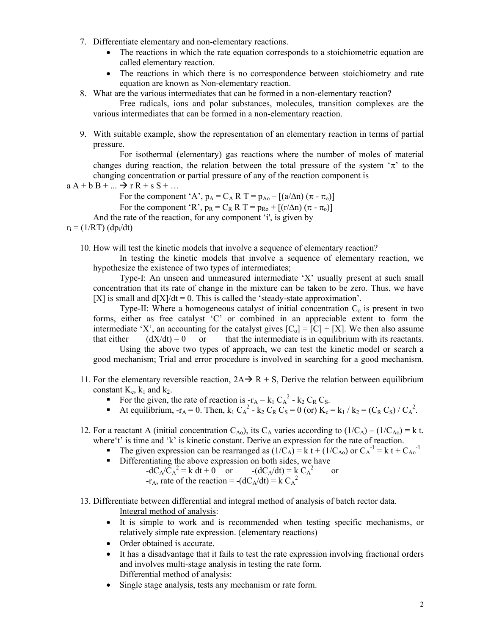- 7. Differentiate elementary and non-elementary reactions.
	- The reactions in which the rate equation corresponds to a stoichiometric equation are called elementary reaction.
	- The reactions in which there is no correspondence between stoichiometry and rate equation are known as Non-elementary reaction.
- 8. What are the various intermediates that can be formed in a non-elementary reaction?

Free radicals, ions and polar substances, molecules, transition complexes are the various intermediates that can be formed in a non-elementary reaction.

9. With suitable example, show the representation of an elementary reaction in terms of partial pressure.

For isothermal (elementary) gas reactions where the number of moles of material changes during reaction, the relation between the total pressure of the system  $\pi$  to the changing concentration or partial pressure of any of the reaction component is

$$
a A + b B + \dots \rightarrow r R + s S + \dots
$$

For the component 'A',  $p_A = C_A R T = p_{A0} - [(a/\Delta n)(\pi - \pi_0)]$ For the component 'R',  $p_R = C_R R T = p_{R0} + [(r/\Delta n)(\pi - \pi_0)]$ And the rate of the reaction, for any component 'i', is given by

 $r_i = (1/RT)(dp_i/dt)$ 

10. How will test the kinetic models that involve a sequence of elementary reaction?

In testing the kinetic models that involve a sequence of elementary reaction, we hypothesize the existence of two types of intermediates;

Type-I: An unseen and unmeasured intermediate 'X' usually present at such small concentration that its rate of change in the mixture can be taken to be zero. Thus, we have  $[X]$  is small and  $d[X]/dt = 0$ . This is called the 'steady-state approximation'.

Type-II: Where a homogeneous catalyst of initial concentration  $C_0$  is present in two forms, either as free catalyst 'C' or combined in an appreciable extent to form the intermediate 'X', an accounting for the catalyst gives  $[C_0] = [C] + [X]$ . We then also assume that either  $(dX/dt) = 0$  or that the intermediate is in equilibrium with its reactants.

Using the above two types of approach, we can test the kinetic model or search a good mechanism; Trial and error procedure is involved in searching for a good mechanism.

- 11. For the elementary reversible reaction,  $2A \rightarrow R + S$ , Derive the relation between equilibrium constant  $K_c$ ,  $k_1$  and  $k_2$ .
	- For the given, the rate of reaction is  $-r_A = k_1 C_A^2 k_2 C_R C_S$ .
	- At equilibrium,  $-r_A = 0$ . Then,  $k_1 C_A^2 k_2 C_R C_S = 0$  (or)  $K_c = k_1 / k_2 = (C_R C_S) / C_A^2$ .
- 12. For a reactant A (initial concentration  $C_{A0}$ ), its  $C_A$  varies according to  $(1/C_A) (1/C_{A0}) = k$  t. where't' is time and 'k' is kinetic constant. Derive an expression for the rate of reaction.
	- The given expression can be rearranged as  $(1/C_A) = k t + (1/C_{A0})$  or  $C_A^{-1} = k t + C_{A0}^{-1}$
	- Differentiating the above expression on both sides, we have  $-dC_A/\tilde{C_A}^2 = k dt + 0$  or  $-(dC_A/dt) = k C_A$ <sup>2</sup> or

$$
-r_A
$$
, rate of the reaction =  $-(dC_A/dt) = kC_A^2$ 

### 13. Differentiate between differential and integral method of analysis of batch rector data.

- Integral method of analysis:
- It is simple to work and is recommended when testing specific mechanisms, or relatively simple rate expression. (elementary reactions)
- Order obtained is accurate.
- It has a disadvantage that it fails to test the rate expression involving fractional orders and involves multi-stage analysis in testing the rate form. Differential method of analysis:
- Single stage analysis, tests any mechanism or rate form.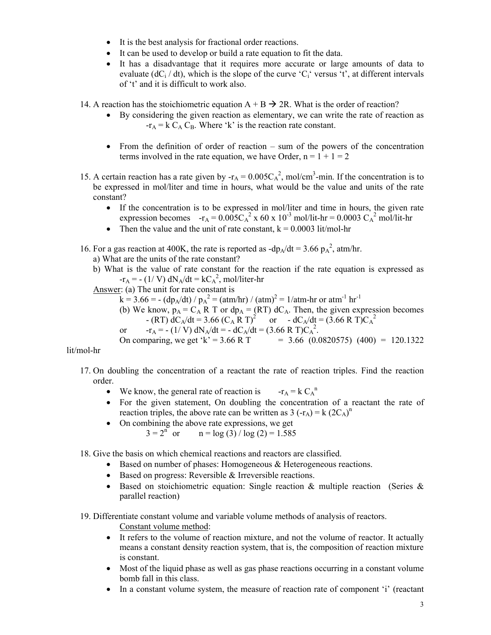- It is the best analysis for fractional order reactions.
- It can be used to develop or build a rate equation to fit the data.
- It has a disadvantage that it requires more accurate or large amounts of data to evaluate  $(dC_i / dt)$ , which is the slope of the curve 'C<sub>i</sub>' versus 't', at different intervals of 't' and it is difficult to work also.

14. A reaction has the stoichiometric equation  $A + B \rightarrow 2R$ . What is the order of reaction?

- By considering the given reaction as elementary, we can write the rate of reaction as  $-r_A = k C_A C_B$ . Where 'k' is the reaction rate constant.
- From the definition of order of reaction sum of the powers of the concentration terms involved in the rate equation, we have Order,  $n = 1 + 1 = 2$
- 15. A certain reaction has a rate given by  $-r_A = 0.005C_A^2$ , mol/cm<sup>3</sup>-min. If the concentration is to be expressed in mol/liter and time in hours, what would be the value and units of the rate constant?
	- If the concentration is to be expressed in mol/liter and time in hours, the given rate expression becomes  $-r_A = 0.005C_A^2$  x 60 x 10<sup>-3</sup> mol/lit-hr = 0.0003  $C_A^2$  mol/lit-hr
	- Then the value and the unit of rate constant,  $k = 0.0003$  lit/mol-hr
- 16. For a gas reaction at 400K, the rate is reported as  $-dp_A/dt = 3.66 p_A^2$ , atm/hr.

a) What are the units of the rate constant?

b) What is the value of rate constant for the reaction if the rate equation is expressed as  $-r_A = -(1/V) dN_A/dt = kC_A^2$ , mol/liter-hr

Answer: (a) The unit for rate constant is

- $k = 3.66 = (dp_A/dt) / p_A^2 = (atm/hr) / (atm)^2 = 1/atm-hr$  or  $atm^{-1} hr^{-1}$ 
	- (b) We know,  $p_A = C_A R T$  or  $dp_A = (RT) dC_A$ . Then, the given expression becomes - (RT)  $dC_A/dt = 3.66 (C_A R T)^2$  or -  $dC_A/dt = (3.66 R T)C_A^2$
	- or  $-r_A = -(1/V) dN_A/dt = dC_A/dt = (3.66 \text{ R T})C_A^2$ .

On comparing, we get 'k' = 3.66 R T = 3.66 (0.0820575) (400) = 120.1322

lit/mol-hr

- 17. On doubling the concentration of a reactant the rate of reaction triples. Find the reaction order.
	- $\bullet$  We know, the general rate of reaction is  $-r_A = k C_A^n$
	- For the given statement, On doubling the concentration of a reactant the rate of reaction triples, the above rate can be written as  $3(-r_A) = k (2C_A)^n$
	- On combining the above rate expressions, we get<br> $3 = 2^{n}$  or  $n = \log(3) / \log(2) = 1.585$  $n = log(3) / log(2) = 1.585$

18. Give the basis on which chemical reactions and reactors are classified.

- Based on number of phases: Homogeneous & Heterogeneous reactions.
- Based on progress: Reversible & Irreversible reactions.
- Based on stoichiometric equation: Single reaction  $\&$  multiple reaction (Series  $\&$ parallel reaction)

19. Differentiate constant volume and variable volume methods of analysis of reactors.

- Constant volume method:
- It refers to the volume of reaction mixture, and not the volume of reactor. It actually means a constant density reaction system, that is, the composition of reaction mixture is constant.
- Most of the liquid phase as well as gas phase reactions occurring in a constant volume bomb fall in this class.
- In a constant volume system, the measure of reaction rate of component 'i' (reactant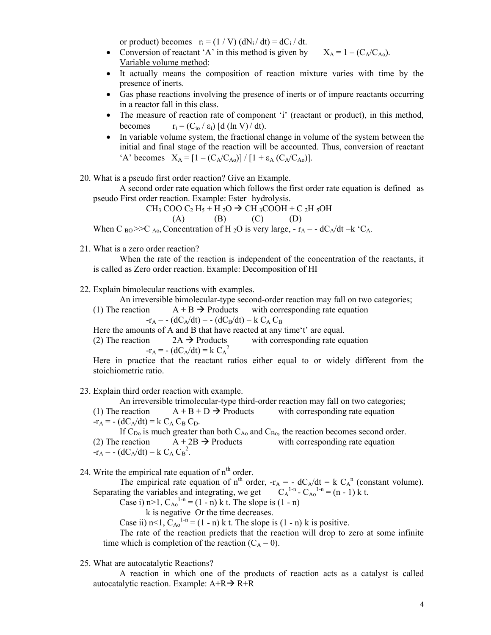or product) becomes  $r_i = (1 / V)$  (dN<sub>i</sub>/dt) = dC<sub>i</sub>/dt.

- Conversion of reactant 'A' in this method is given by  $X_A = 1 (C_A/C_{A_0})$ . Variable volume method:
- It actually means the composition of reaction mixture varies with time by the presence of inerts.
- Gas phase reactions involving the presence of inerts or of impure reactants occurring in a reactor fall in this class.
- The measure of reaction rate of component 'i' (reactant or product), in this method, becomes  $r_i = (C_{i0} / \varepsilon_i)$  [d (ln V)/dt).
- In variable volume system, the fractional change in volume of the system between the initial and final stage of the reaction will be accounted. Thus, conversion of reactant 'A' becomes  $X_A = [1 - (C_A/C_{Ao})]/[1 + \varepsilon_A (C_A/C_{Ao})]$ .

20. What is a pseudo first order reaction? Give an Example.

A second order rate equation which follows the first order rate equation is defined as pseudo First order reaction. Example: Ester hydrolysis.

$$
CH_3 COO C_2 H_5 + H_2O \rightarrow CH_3COOH + C_2H_5OH
$$

$$
(A) \qquad (B) \qquad (C) \qquad (D)
$$

When C <sub>BO</sub> >>C <sub>Ao</sub>, Concentration of H <sub>2</sub>O is very large,  $-r_A = -dC_A/dt = k^{\circ}C_A$ .

21. What is a zero order reaction?

When the rate of the reaction is independent of the concentration of the reactants, it is called as Zero order reaction. Example: Decomposition of HI

22. Explain bimolecular reactions with examples.

An irreversible bimolecular-type second-order reaction may fall on two categories;<br>reaction  $A + B \rightarrow$  Products with corresponding rate equation

(1) The reaction  $A + B \rightarrow$  Products with corresponding rate equation

 $-r_A = - (dC_A/dt) = - (dC_B/dt) = k C_A C_B$ 

Here the amounts of A and B that have reacted at any time't' are equal.

(2) The reaction  $2A \rightarrow$  Products with corresponding rate equation  $-r_A = - (dC_A/dt) = k C_A^2$ 

Here in practice that the reactant ratios either equal to or widely different from the stoichiometric ratio.

23. Explain third order reaction with example.

An irreversible trimolecular-type third-order reaction may fall on two categories;

(1) The reaction  $A + B + D \rightarrow$  Products with corresponding rate equation  $-r_A = - (dC_A/dt) = k C_A C_B C_D.$ 

If C<sub>Do</sub> is much greater than both C<sub>Ao</sub> and C<sub>Bo</sub>, the reaction becomes second order.<br>(2) The reaction  $A + 2B \rightarrow$  Products with corresponding rate equation  $(A + 2B \rightarrow$  Products with corresponding rate equation  $-r_A = - (dC_A/dt) = k C_A C_B^2$ .

24. Write the empirical rate equation of  $n<sup>th</sup>$  order.

The empirical rate equation of n<sup>th</sup> order,  $-r_A = - dC_A/dt = k C_A^n$  (constant volume). Separating the variables and integrating, we get  $C_A^{1-n} - C_{A_0}^{1-n} = (n-1) k t$ .

Case i) n>1,  $C_{A0}^{1-n} = (1 - n)$  k t. The slope is  $(1 - n)$ 

k is negative Or the time decreases.

Case ii)  $n<1$ ,  $C_{A0}^{1-n} = (1 - n) k$  t. The slope is  $(1 - n) k$  is positive.

The rate of the reaction predicts that the reaction will drop to zero at some infinite time which is completion of the reaction  $(C_A = 0)$ .

### 25. What are autocatalytic Reactions?

A reaction in which one of the products of reaction acts as a catalyst is called autocatalytic reaction. Example:  $A+R \rightarrow R+R$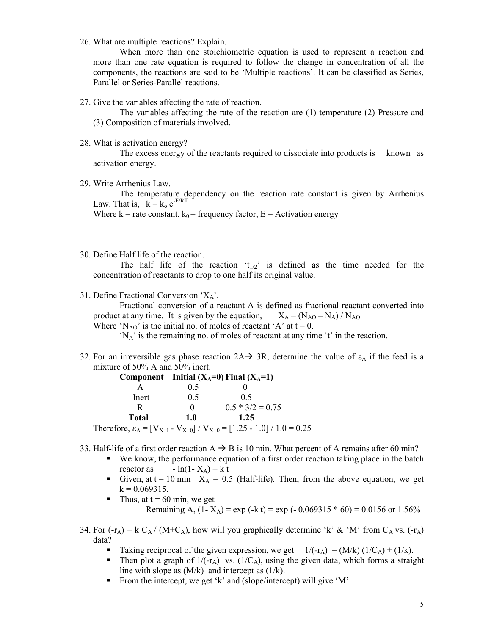26. What are multiple reactions? Explain.

When more than one stoichiometric equation is used to represent a reaction and more than one rate equation is required to follow the change in concentration of all the components, the reactions are said to be 'Multiple reactions'. It can be classified as Series, Parallel or Series-Parallel reactions.

27. Give the variables affecting the rate of reaction.

The variables affecting the rate of the reaction are (1) temperature (2) Pressure and (3) Composition of materials involved.

28. What is activation energy?

The excess energy of the reactants required to dissociate into products is known as activation energy.

29. Write Arrhenius Law.

The temperature dependency on the reaction rate constant is given by Arrhenius Law. That is,  $k = k_0 e^{-E/RT}$ 

Where  $k =$  rate constant,  $k_0 =$  frequency factor,  $E =$  Activation energy

30. Define Half life of the reaction.

The half life of the reaction ' $t_{1/2}$ ' is defined as the time needed for the concentration of reactants to drop to one half its original value.

31. Define Fractional Conversion ' $X_A$ '.

Fractional conversion of a reactant A is defined as fractional reactant converted into product at any time. It is given by the equation,  $X_A = (N_{AO} - N_A) / N_{AO}$ 

Where 'N<sub>AO</sub>' is the initial no. of moles of reactant 'A' at  $t = 0$ .

'NA' is the remaining no. of moles of reactant at any time 't' in the reaction.

32. For an irreversible gas phase reaction  $2A \rightarrow 3R$ , determine the value of  $\varepsilon_A$  if the feed is a mixture of 50% A and 50% inert.

|       |          | Component Initial $(X_A=0)$ Final $(X_A=1)$                                            |
|-------|----------|----------------------------------------------------------------------------------------|
|       | 0.5      |                                                                                        |
| Inert | 0.5      | 05                                                                                     |
|       | $\Omega$ | $0.5 * 3/2 = 0.75$                                                                     |
| Total | 1.0      | 1.25                                                                                   |
|       |          | Therefore, $\varepsilon_A = [V_{X=I} - V_{X=0}] / V_{X=0} = [1.25 - 1.0] / 1.0 = 0.25$ |

33. Half-life of a first order reaction  $A \rightarrow B$  is 10 min. What percent of A remains after 60 min?

- We know, the performance equation of a first order reaction taking place in the batch reactor as  $-\ln(1 - X_A) = k t$ 
	- Given, at  $t = 10$  min  $X_A = 0.5$  (Half-life). Then, from the above equation, we get  $k = 0.069315$ .
- Thus, at  $t = 60$  min, we get Remaining A,  $(1 - X_A) = \exp(-k t) = \exp(-0.069315 * 60) = 0.0156$  or 1.56%
- 34. For  $(-r_A) = k C_A / (M + C_A)$ , how will you graphically determine 'k' & 'M' from  $C_A$  vs.  $(-r_A)$ data?
	- Taking reciprocal of the given expression, we get  $1/(-r_A) = (M/k) (1/C_A) + (1/k)$ .
	- Then plot a graph of  $1/(-r_A)$  vs.  $(1/C_A)$ , using the given data, which forms a straight line with slope as  $(M/k)$  and intercept as  $(1/k)$ .
	- From the intercept, we get 'k' and (slope/intercept) will give 'M'.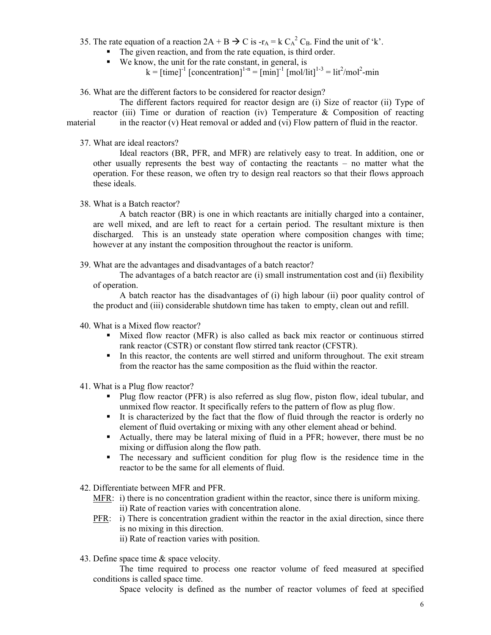- 35. The rate equation of a reaction  $2A + B \rightarrow C$  is  $-r_A = k C_A^2 C_B$ . Find the unit of 'k'.
	- The given reaction, and from the rate equation, is third order.
	- We know, the unit for the rate constant, in general, is

 $k = [\text{time}]^{-1}$  [concentration]<sup>1-n</sup> =  $[\text{min}]^{-1}$   $[\text{mol/lit}]^{1-3} = \text{lit}^2/\text{mol}^2$ -min

36. What are the different factors to be considered for reactor design?

The different factors required for reactor design are (i) Size of reactor (ii) Type of reactor (iii) Time or duration of reaction (iv) Temperature  $\&$  Composition of reacting material in the reactor (v) Heat removal or added and (vi) Flow pattern of fluid in the reactor.

37. What are ideal reactors?

Ideal reactors (BR, PFR, and MFR) are relatively easy to treat. In addition, one or other usually represents the best way of contacting the reactants – no matter what the operation. For these reason, we often try to design real reactors so that their flows approach these ideals.

38. What is a Batch reactor?

A batch reactor (BR) is one in which reactants are initially charged into a container, are well mixed, and are left to react for a certain period. The resultant mixture is then discharged. This is an unsteady state operation where composition changes with time; however at any instant the composition throughout the reactor is uniform.

39. What are the advantages and disadvantages of a batch reactor?

The advantages of a batch reactor are (i) small instrumentation cost and (ii) flexibility of operation.

A batch reactor has the disadvantages of (i) high labour (ii) poor quality control of the product and (iii) considerable shutdown time has taken to empty, clean out and refill.

- 40. What is a Mixed flow reactor?
	- Mixed flow reactor (MFR) is also called as back mix reactor or continuous stirred rank reactor (CSTR) or constant flow stirred tank reactor (CFSTR).
	- In this reactor, the contents are well stirred and uniform throughout. The exit stream from the reactor has the same composition as the fluid within the reactor.
- 41. What is a Plug flow reactor?
	- **Plug flow reactor (PFR) is also referred as slug flow, piston flow, ideal tubular, and** unmixed flow reactor. It specifically refers to the pattern of flow as plug flow.
	- It is characterized by the fact that the flow of fluid through the reactor is orderly no element of fluid overtaking or mixing with any other element ahead or behind.
	- Actually, there may be lateral mixing of fluid in a PFR; however, there must be no mixing or diffusion along the flow path.
	- The necessary and sufficient condition for plug flow is the residence time in the reactor to be the same for all elements of fluid.
- 42. Differentiate between MFR and PFR.
	- MFR: i) there is no concentration gradient within the reactor, since there is uniform mixing. ii) Rate of reaction varies with concentration alone.
	- PFR: i) There is concentration gradient within the reactor in the axial direction, since there is no mixing in this direction.
		- ii) Rate of reaction varies with position.
- 43. Define space time & space velocity.

The time required to process one reactor volume of feed measured at specified conditions is called space time.

Space velocity is defined as the number of reactor volumes of feed at specified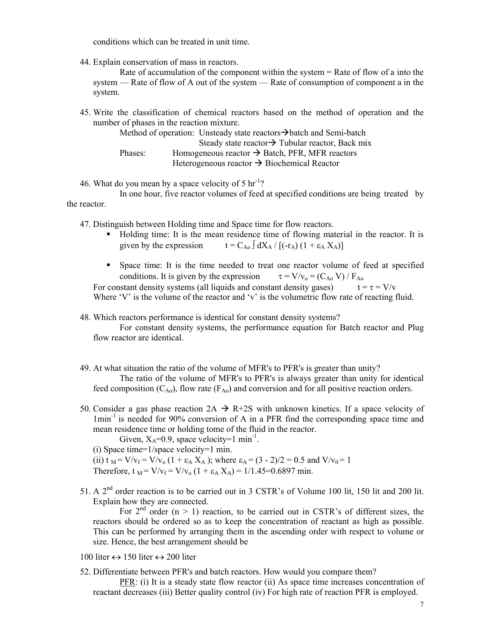conditions which can be treated in unit time.

44. Explain conservation of mass in reactors.

Rate of accumulation of the component within the system = Rate of flow of a into the system — Rate of flow of A out of the system — Rate of consumption of component a in the system.

45. Write the classification of chemical reactors based on the method of operation and the number of phases in the reaction mixture.

|         | Method of operation: Unsteady state reactors $\rightarrow$ batch and Semi-batch |
|---------|---------------------------------------------------------------------------------|
|         | Steady state reactor $\rightarrow$ Tubular reactor, Back mix                    |
| Phases: | Homogeneous reactor $\rightarrow$ Batch, PFR, MFR reactors                      |
|         | Heterogeneous reactor $\rightarrow$ Biochemical Reactor                         |

46. What do you mean by a space velocity of  $5 \text{ hr}^{-1}$ ?

In one hour, five reactor volumes of feed at specified conditions are being treated by the reactor.

47. Distinguish between Holding time and Space time for flow reactors.

- Holding time: It is the mean residence time of flowing material in the reactor. It is given by the expression  $t = C_{A0} \int dX_A / [(-r_A) (1 + \varepsilon_A X_A)]$
- Space time: It is the time needed to treat one reactor volume of feed at specified conditions. It is given by the expression  $\tau = V/v_0 = (C_{A_0} V) / F_{A_0}$

For constant density systems (all liquids and constant density gases)  $t = \tau = V/v$ Where 'V' is the volume of the reactor and 'v' is the volumetric flow rate of reacting fluid.

48. Which reactors performance is identical for constant density systems?

For constant density systems, the performance equation for Batch reactor and Plug flow reactor are identical.

- 49. At what situation the ratio of the volume of MFR's to PFR's is greater than unity? The ratio of the volume of MFR's to PFR's is always greater than unity for identical feed composition  $(C_{A_0})$ , flow rate  $(F_{A_0})$  and conversion and for all positive reaction orders.
- 50. Consider a gas phase reaction  $2A \rightarrow R+2S$  with unknown kinetics. If a space velocity of  $1$ min<sup>-1</sup> is needed for 90% conversion of A in a PFR find the corresponding space time and mean residence time or holding tome of the fluid in the reactor.

Given,  $X_A=0.9$ , space velocity=1 min<sup>-1</sup>.

(i) Space time=1/space velocity=1 min.

- (ii) t  $_M = V/v_f = V/v_0 (1 + \epsilon_A X_A)$ ; where  $\epsilon_A = (3 2)/2 = 0.5$  and  $V/v_0 = 1$ Therefore, t  $_M = V/v_f = V/v_0 (1 + \varepsilon_A X_A) = 1/1.45 = 0.6897$  min.
- 51. A 2<sup>nd</sup> order reaction is to be carried out in 3 CSTR's of Volume 100 lit, 150 lit and 200 lit. Explain how they are connected.

For  $2<sup>nd</sup>$  order (n > 1) reaction, to be carried out in CSTR's of different sizes, the reactors should be ordered so as to keep the concentration of reactant as high as possible. This can be performed by arranging them in the ascending order with respect to volume or size. Hence, the best arrangement should be

100 liter  $\leftrightarrow$  150 liter  $\leftrightarrow$  200 liter

52. Differentiate between PFR's and batch reactors. How would you compare them?

PFR: (i) It is a steady state flow reactor (ii) As space time increases concentration of reactant decreases (iii) Better quality control (iv) For high rate of reaction PFR is employed.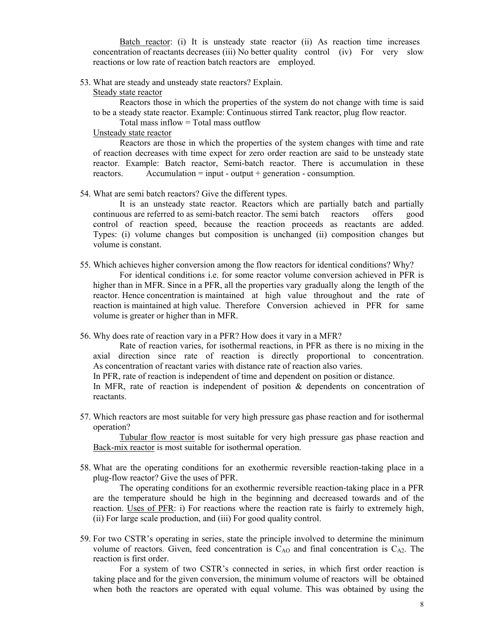Batch reactor: (i) It is unsteady state reactor (ii) As reaction time increases concentration of reactants decreases (iii) No better quality control (iv) For very slow reactions or low rate of reaction batch reactors are employed.

- 53. What are steady and unsteady state reactors? Explain.
	- Steady state reactor

Reactors those in which the properties of the system do not change with time is said to be a steady state reactor. Example: Continuous stirred Tank reactor, plug flow reactor.

Total mass inflow = Total mass outflow

Unsteady state reactor

Reactors are those in which the properties of the system changes with time and rate of reaction decreases with time expect for zero order reaction are said to be unsteady state reactor. Example: Batch reactor, Semi-batch reactor. There is accumulation in these reactors. Accumulation  $=$  input - output  $+$  generation - consumption.

54. What are semi batch reactors? Give the different types.

It is an unsteady state reactor. Reactors which are partially batch and partially continuous are referred to as semi-batch reactor. The semi batch reactors offers good control of reaction speed, because the reaction proceeds as reactants are added. Types: (i) volume changes but composition is unchanged (ii) composition changes but volume is constant.

55. Which achieves higher conversion among the flow reactors for identical conditions? Why?

For identical conditions i.e. for some reactor volume conversion achieved in PFR is higher than in MFR. Since in a PFR, all the properties vary gradually along the length of the reactor. Hence concentration is maintained at high value throughout and the rate of reaction is maintained at high value. Therefore Conversion achieved in PFR for same volume is greater or higher than in MFR.

56. Why does rate of reaction vary in a PFR? How does it vary in a MFR?

Rate of reaction varies, for isothermal reactions, in PFR as there is no mixing in the axial direction since rate of reaction is directly proportional to concentration. As concentration of reactant varies with distance rate of reaction also varies.

In PFR, rate of reaction is independent of time and dependent on position or distance.

In MFR, rate of reaction is independent of position & dependents on concentration of reactants.

57. Which reactors are most suitable for very high pressure gas phase reaction and for isothermal operation?

Tubular flow reactor is most suitable for very high pressure gas phase reaction and Back-mix reactor is most suitable for isothermal operation.

58. What are the operating conditions for an exothermic reversible reaction-taking place in a plug-flow reactor? Give the uses of PFR.

The operating conditions for an exothermic reversible reaction-taking place in a PFR are the temperature should be high in the beginning and decreased towards and of the reaction. Uses of PFR: i) For reactions where the reaction rate is fairly to extremely high, (ii) For large scale production, and (iii) For good quality control.

59. For two CSTR's operating in series, state the principle involved to determine the minimum volume of reactors. Given, feed concentration is  $C_{AO}$  and final concentration is  $C_{A2}$ . The reaction is first order.

For a system of two CSTR's connected in series, in which first order reaction is taking place and for the given conversion, the minimum volume of reactors will be obtained when both the reactors are operated with equal volume. This was obtained by using the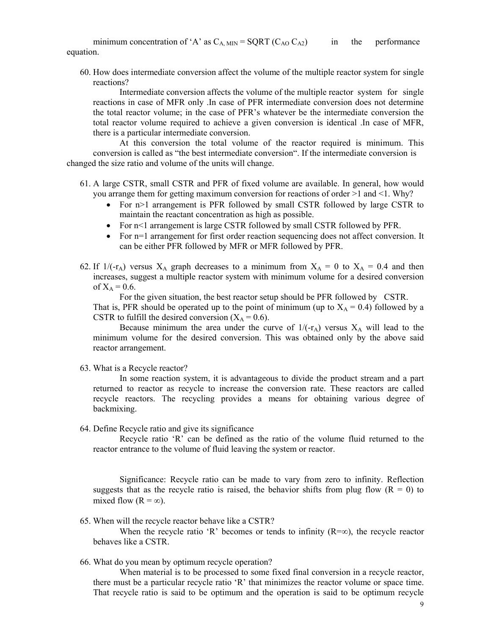minimum concentration of 'A' as  $C_{A \text{ MIN}} = \text{SQRT} (C_{AO} C_{A2})$  in the performance equation.

60. How does intermediate conversion affect the volume of the multiple reactor system for single reactions?

Intermediate conversion affects the volume of the multiple reactor system for single reactions in case of MFR only .In case of PFR intermediate conversion does not determine the total reactor volume; in the case of PFR's whatever be the intermediate conversion the total reactor volume required to achieve a given conversion is identical .In case of MFR, there is a particular intermediate conversion.

At this conversion the total volume of the reactor required is minimum. This conversion is called as "the best intermediate conversion". If the intermediate conversion is changed the size ratio and volume of the units will change.

- 61. A large CSTR, small CSTR and PFR of fixed volume are available. In general, how would you arrange them for getting maximum conversion for reactions of order >1 and <1. Why?
	- For n>1 arrangement is PFR followed by small CSTR followed by large CSTR to maintain the reactant concentration as high as possible.
	- For n<1 arrangement is large CSTR followed by small CSTR followed by PFR.
	- For n=1 arrangement for first order reaction sequencing does not affect conversion. It can be either PFR followed by MFR or MFR followed by PFR.
- 62. If  $1/(-r_A)$  versus  $X_A$  graph decreases to a minimum from  $X_A = 0$  to  $X_A = 0.4$  and then increases, suggest a multiple reactor system with minimum volume for a desired conversion of  $X_A = 0.6$ .

For the given situation, the best reactor setup should be PFR followed by CSTR. That is, PFR should be operated up to the point of minimum (up to  $X_A = 0.4$ ) followed by a CSTR to fulfill the desired conversion  $(X_A = 0.6)$ .

Because minimum the area under the curve of  $1/(-r_A)$  versus  $X_A$  will lead to the minimum volume for the desired conversion. This was obtained only by the above said reactor arrangement.

63. What is a Recycle reactor?

In some reaction system, it is advantageous to divide the product stream and a part returned to reactor as recycle to increase the conversion rate. These reactors are called recycle reactors. The recycling provides a means for obtaining various degree of backmixing.

64. Define Recycle ratio and give its significance

Recycle ratio 'R' can be defined as the ratio of the volume fluid returned to the reactor entrance to the volume of fluid leaving the system or reactor.

Significance: Recycle ratio can be made to vary from zero to infinity. Reflection suggests that as the recycle ratio is raised, the behavior shifts from plug flow  $(R = 0)$  to mixed flow  $(R = \infty)$ .

65. When will the recycle reactor behave like a CSTR?

When the recycle ratio 'R' becomes or tends to infinity  $(R=\infty)$ , the recycle reactor behaves like a CSTR.

66. What do you mean by optimum recycle operation?

When material is to be processed to some fixed final conversion in a recycle reactor, there must be a particular recycle ratio 'R' that minimizes the reactor volume or space time. That recycle ratio is said to be optimum and the operation is said to be optimum recycle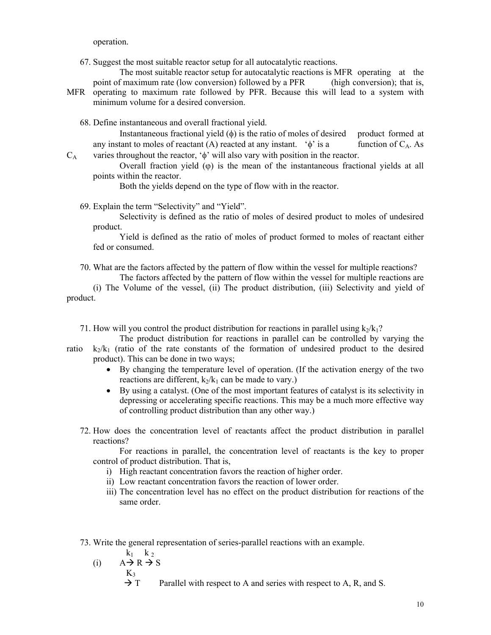operation.

67. Suggest the most suitable reactor setup for all autocatalytic reactions.

The most suitable reactor setup for autocatalytic reactions is MFR operating at the point of maximum rate (low conversion) followed by a PFR (high conversion); that is, MFR operating to maximum rate followed by PFR. Because this will lead to a system with minimum volume for a desired conversion.

68. Define instantaneous and overall fractional yield.

Instantaneous fractional yield  $(\phi)$  is the ratio of moles of desired product formed at any instant to moles of reactant (A) reacted at any instant.  $\phi$  is a function of  $C_A$ . As  $C_A$  varies throughout the reactor, ' $\phi$ ' will also vary with position in the reactor.

Overall fraction yield  $(\varphi)$  is the mean of the instantaneous fractional yields at all points within the reactor.

Both the yields depend on the type of flow with in the reactor.

69. Explain the term "Selectivity" and "Yield".

Selectivity is defined as the ratio of moles of desired product to moles of undesired product.

Yield is defined as the ratio of moles of product formed to moles of reactant either fed or consumed.

70. What are the factors affected by the pattern of flow within the vessel for multiple reactions? The factors affected by the pattern of flow within the vessel for multiple reactions are

(i) The Volume of the vessel, (ii) The product distribution, (iii) Selectivity and yield of product.

71. How will you control the product distribution for reactions in parallel using  $k_2/k_1$ ?

The product distribution for reactions in parallel can be controlled by varying the ratio  $k_2/k_1$  (ratio of the rate constants of the formation of undesired product to the desired product). This can be done in two ways;

- By changing the temperature level of operation. (If the activation energy of the two reactions are different,  $k_2/k_1$  can be made to vary.)
- By using a catalyst. (One of the most important features of catalyst is its selectivity in depressing or accelerating specific reactions. This may be a much more effective way of controlling product distribution than any other way.)
- 72. How does the concentration level of reactants affect the product distribution in parallel reactions?

For reactions in parallel, the concentration level of reactants is the key to proper control of product distribution. That is,

- i) High reactant concentration favors the reaction of higher order.
- ii) Low reactant concentration favors the reaction of lower order.
- iii) The concentration level has no effect on the product distribution for reactions of the same order.

73. Write the general representation of series-parallel reactions with an example.

 $k_1$   $k_2$ (i)  $A \rightarrow R \rightarrow S$ 

$$
K_3
$$

 $\rightarrow$  T Parallel with respect to A and series with respect to A, R, and S.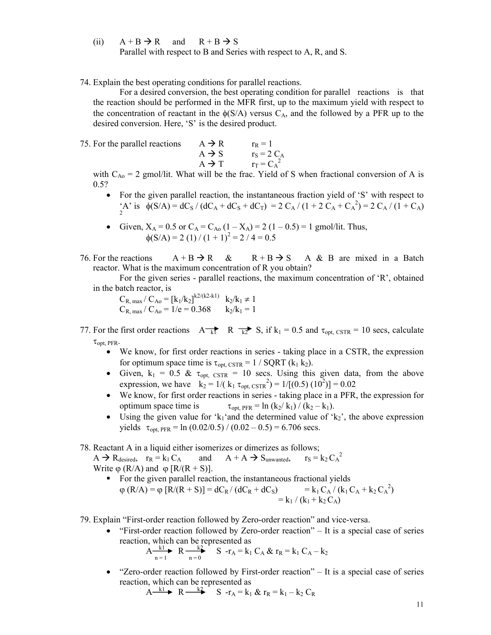- (ii)  $A + B \rightarrow R$  and  $R + B \rightarrow S$ Parallel with respect to B and Series with respect to A, R, and S.
- 74. Explain the best operating conditions for parallel reactions.

For a desired conversion, the best operating condition for parallel reactions is that the reaction should be performed in the MFR first, up to the maximum yield with respect to the concentration of reactant in the  $\phi(S/A)$  versus C<sub>A</sub>, and the followed by a PFR up to the desired conversion. Here, 'S' is the desired product.

75. For the parallel reactions  $A \rightarrow R$   $r_R = 1$  $A \rightarrow S$   $r_S = 2 C_A$  $A \rightarrow T$   $r_T = C_A^2$ 

with  $C_{A_0} = 2$  gmol/lit. What will be the frac. Yield of S when fractional conversion of A is 0.5?

- For the given parallel reaction, the instantaneous fraction yield of 'S' with respect to  ${}_{2}^{4}$ A' is  $\phi(S/A) = dC_S / (dC_A + dC_S + dC_T) = 2 C_A / (1 + 2 C_A + C_A^2) = 2 C_A / (1 + C_A)$
- Given,  $X_A = 0.5$  or  $C_A = C_{A_0} (1 X_A) = 2 (1 0.5) = 1$  gmol/lit. Thus,  $\phi(S/A) = 2(1)/(1 + 1)^2 = 2/4 = 0.5$
- 76. For the reactions  $A + B \rightarrow R$  &  $R + B \rightarrow S$  A & B are mixed in a Batch reactor. What is the maximum concentration of R you obtain?

For the given series - parallel reactions, the maximum concentration of 'R', obtained in the batch reactor, is

 $C_{R, max} / C_{Ao} = [k_1 / k_2]^{k_2 / (k_2 - k_1)}$   $k_2 / k_1 \neq 1$  $C_{R, max} / C_{Ao} = 1/e = 0.368$   $k_2 / k_1 = 1$ 

- 77. For the first order reactions  $A_{k}$  R  $\overrightarrow{k_{2}}$  S, if  $k_{1} = 0.5$  and  $\tau_{opt, \text{CSTR}} = 10$  secs, calculate  $\tau_{opt, PFR}.$ 
	- We know, for first order reactions in series taking place in a CSTR, the expression for optimum space time is  $\tau_{\text{opt. CSTR}} = 1 / \text{SQRT}$  (k<sub>1</sub> k<sub>2</sub>).
	- Given,  $k_1 = 0.5 \& \tau_{opt, \text{CSTR}} = 10 \text{ secs}$ . Using this given data, from the above expression, we have  $k_2 = 1/(k_1 \tau_{opt,\text{CSTR}}^2) = 1/[(0.5) (10^2)] = 0.02$
	- We know, for first order reactions in series taking place in a PFR, the expression for optimum space time is  $\tau_{opt, PFR} = \ln (k_2 / k_1) / (k_2 - k_1)$ .
	- Using the given value for 'k<sub>1</sub>' and the determined value of 'k<sub>2</sub>', the above expression yields  $\tau_{opt, PFR} = \ln (0.02/0.5) / (0.02 - 0.5) = 6.706$  secs.

78. Reactant A in a liquid either isomerizes or dimerizes as follows;

 $A \to R_{\text{desired}}$ ,  $r_R = k_1 C_A$  and  $A + A \to S_{\text{unwanted}}$ ,  $r_S = k_2 C_A^2$ Write  $\varphi$  (R/A) and  $\varphi$  [R/(R + S)].

• For the given parallel reaction, the instantaneous fractional yields  $\varphi$  (R/A) =  $\varphi$  [R/(R + S)] = dC<sub>R</sub>/ (dC<sub>R</sub> + dC<sub>S</sub>) = k<sub>1</sub> C<sub>A</sub>/ (k<sub>1</sub> C<sub>A</sub> + k<sub>2</sub> C<sub>A</sub><sup>2</sup>)  $= k_1 / (k_1 + k_2 C_A)$ 

79. Explain "First-order reaction followed by Zero-order reaction" and vice-versa.

 $\bullet$  "First-order reaction followed by Zero-order reaction" – It is a special case of series reaction, which can be represented as

$$
A \xrightarrow[n=1]{k} R \xrightarrow[n=0]{k^2} S \rightharpoonup r_A = k_1 C_A & r_R = k_1 C_A - k_2
$$

 $\bullet$  "Zero-order reaction followed by First-order reaction" – It is a special case of series reaction, which can be represented as

$$
A \xrightarrow{k1} R \xrightarrow{k2} S -r_A = k_1 \& r_R = k_1 - k_2 C_R
$$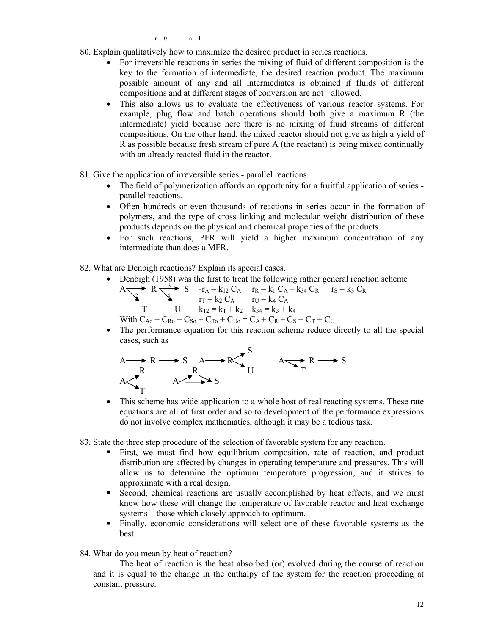$n = 0$   $n = 1$ 

- 80. Explain qualitatively how to maximize the desired product in series reactions.
	- For irreversible reactions in series the mixing of fluid of different composition is the key to the formation of intermediate, the desired reaction product. The maximum possible amount of any and all intermediates is obtained if fluids of different compositions and at different stages of conversion are not allowed.
	- This also allows us to evaluate the effectiveness of various reactor systems. For example, plug flow and batch operations should both give a maximum R (the intermediate) yield because here there is no mixing of fluid streams of different compositions. On the other hand, the mixed reactor should not give as high a yield of R as possible because fresh stream of pure A (the reactant) is being mixed continually with an already reacted fluid in the reactor.
- 81. Give the application of irreversible series parallel reactions.
	- The field of polymerization affords an opportunity for a fruitful application of series parallel reactions.
	- Often hundreds or even thousands of reactions in series occur in the formation of polymers, and the type of cross linking and molecular weight distribution of these products depends on the physical and chemical properties of the products.
	- For such reactions, PFR will yield a higher maximum concentration of any intermediate than does a MFR.

82. What are Denbigh reactions? Explain its special cases.

cases, such as

- Denbigh (1958) was the first to treat the following rather general reaction scheme  $A \xrightarrow{1} R \xrightarrow{3} S$  -r<sub>A</sub> = k<sub>12</sub> C<sub>A</sub> r<sub>R</sub> = k<sub>1</sub> C<sub>A</sub> - k<sub>34</sub> C<sub>R</sub> r<sub>S</sub> = k<sub>3</sub> C<sub>R</sub>  $r_T = k_2 C_A$   $r_U = k_4 C_A$ T U  $k_{12} = k_1 + k_2$   $k_{34} = k_3 + k_4$
- With  $C_{A0}$  +  $C_{R0}$  +  $C_{S0}$  +  $C_{T0}$  +  $C_{U0}$  =  $C_A$  +  $C_R$  +  $C_S$  +  $C_T$  +  $C_U$ The performance equation for this reaction scheme reduce directly to all the special

$$
A \longrightarrow R \longrightarrow S \quad A \longrightarrow R
$$
\n
$$
A \longrightarrow R
$$
\n
$$
A \longrightarrow R
$$
\n
$$
A \longrightarrow R \longrightarrow S
$$
\n
$$
A \longrightarrow R \longrightarrow S
$$

- This scheme has wide application to a whole host of real reacting systems. These rate equations are all of first order and so to development of the performance expressions do not involve complex mathematics, although it may be a tedious task.
- 83. State the three step procedure of the selection of favorable system for any reaction.
	- First, we must find how equilibrium composition, rate of reaction, and product distribution are affected by changes in operating temperature and pressures. This will allow us to determine the optimum temperature progression, and it strives to approximate with a real design.
	- Second, chemical reactions are usually accomplished by heat effects, and we must know how these will change the temperature of favorable reactor and heat exchange systems – those which closely approach to optimum.
	- Finally, economic considerations will select one of these favorable systems as the best.
- 84. What do you mean by heat of reaction?

The heat of reaction is the heat absorbed (or) evolved during the course of reaction and it is equal to the change in the enthalpy of the system for the reaction proceeding at constant pressure.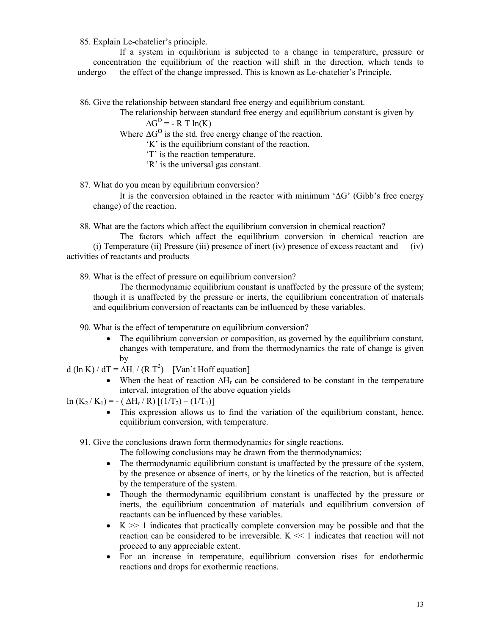85. Explain Le-chatelier's principle.

If a system in equilibrium is subjected to a change in temperature, pressure or concentration the equilibrium of the reaction will shift in the direction, which tends to undergo the effect of the change impressed. This is known as Le-chatelier's Principle.

86. Give the relationship between standard free energy and equilibrium constant.

The relationship between standard free energy and equilibrium constant is given by

 $\Delta G^{\rm O}$  = - R T ln(K)

Where  $\Delta G^0$  is the std. free energy change of the reaction.

'K' is the equilibrium constant of the reaction.

'T' is the reaction temperature.

'R' is the universal gas constant.

87. What do you mean by equilibrium conversion?

It is the conversion obtained in the reactor with minimum ' $\Delta G$ ' (Gibb's free energy change) of the reaction.

88. What are the factors which affect the equilibrium conversion in chemical reaction?

The factors which affect the equilibrium conversion in chemical reaction are (i) Temperature (ii) Pressure (iii) presence of inert (iv) presence of excess reactant and (iv) activities of reactants and products

89. What is the effect of pressure on equilibrium conversion?

The thermodynamic equilibrium constant is unaffected by the pressure of the system; though it is unaffected by the pressure or inerts, the equilibrium concentration of materials and equilibrium conversion of reactants can be influenced by these variables.

90. What is the effect of temperature on equilibrium conversion?

 The equilibrium conversion or composition, as governed by the equilibrium constant, changes with temperature, and from the thermodynamics the rate of change is given by

d (ln K) / dT =  $\Delta H_r$  / (R T<sup>2</sup>) [Van't Hoff equation]

• When the heat of reaction  $\Delta H_r$  can be considered to be constant in the temperature interval, integration of the above equation yields

 $\ln (K_2/K_1) = - ( \Delta H_r/R) [(1/T_2) - (1/T_1)]$ 

 This expression allows us to find the variation of the equilibrium constant, hence, equilibrium conversion, with temperature.

91. Give the conclusions drawn form thermodynamics for single reactions.

The following conclusions may be drawn from the thermodynamics;

- The thermodynamic equilibrium constant is unaffected by the pressure of the system, by the presence or absence of inerts, or by the kinetics of the reaction, but is affected by the temperature of the system.
- Though the thermodynamic equilibrium constant is unaffected by the pressure or inerts, the equilibrium concentration of materials and equilibrium conversion of reactants can be influenced by these variables.
- $\bullet$  K  $\gg$  1 indicates that practically complete conversion may be possible and that the reaction can be considered to be irreversible.  $K \ll 1$  indicates that reaction will not proceed to any appreciable extent.
- For an increase in temperature, equilibrium conversion rises for endothermic reactions and drops for exothermic reactions.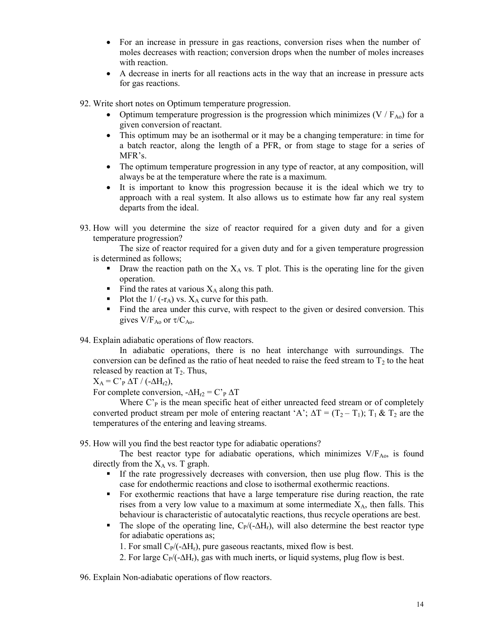- For an increase in pressure in gas reactions, conversion rises when the number of moles decreases with reaction; conversion drops when the number of moles increases with reaction.
- A decrease in inerts for all reactions acts in the way that an increase in pressure acts for gas reactions.
- 92. Write short notes on Optimum temperature progression.
	- Optimum temperature progression is the progression which minimizes (V /  $F_{A0}$ ) for a given conversion of reactant.
	- This optimum may be an isothermal or it may be a changing temperature: in time for a batch reactor, along the length of a PFR, or from stage to stage for a series of MFR's.
	- The optimum temperature progression in any type of reactor, at any composition, will always be at the temperature where the rate is a maximum.
	- It is important to know this progression because it is the ideal which we try to approach with a real system. It also allows us to estimate how far any real system departs from the ideal.
- 93. How will you determine the size of reactor required for a given duty and for a given temperature progression?

The size of reactor required for a given duty and for a given temperature progression is determined as follows;

- **Draw the reaction path on the**  $X_A$  **vs. T plot. This is the operating line for the given** operation.
- Find the rates at various  $X_A$  along this path.
- Plot the  $1/$  (-r<sub>A</sub>) vs.  $X_A$  curve for this path.
- Find the area under this curve, with respect to the given or desired conversion. This gives  $V/F_{Ao}$  or  $\tau/C_{Ao}$ .
- 94. Explain adiabatic operations of flow reactors.

In adiabatic operations, there is no heat interchange with surroundings. The conversion can be defined as the ratio of heat needed to raise the feed stream to  $T_2$  to the heat released by reaction at  $T_2$ . Thus,

 $X_A = C'_{P} \Delta T / (-\Delta H_{r2}),$ 

For complete conversion,  $-\Delta H_{r2} = C \cdot_P \Delta T$ 

Where  $C<sub>P</sub>$  is the mean specific heat of either unreacted feed stream or of completely converted product stream per mole of entering reactant 'A';  $\Delta T = (T_2 - T_1)$ ;  $T_1 \& T_2$  are the temperatures of the entering and leaving streams.

95. How will you find the best reactor type for adiabatic operations?

The best reactor type for adiabatic operations, which minimizes  $V/F_{A0}$ , is found directly from the  $X_A$  vs. T graph.

- If the rate progressively decreases with conversion, then use plug flow. This is the case for endothermic reactions and close to isothermal exothermic reactions.
- For exothermic reactions that have a large temperature rise during reaction, the rate rises from a very low value to a maximum at some intermediate  $X_A$ , then falls. This behaviour is characteristic of autocatalytic reactions, thus recycle operations are best.
- The slope of the operating line,  $C_P/(-\Delta H_r)$ , will also determine the best reactor type for adiabatic operations as;

1. For small  $C_P/(-\Delta H_r)$ , pure gaseous reactants, mixed flow is best.

2. For large  $C_P/(-\Delta H_r)$ , gas with much inerts, or liquid systems, plug flow is best.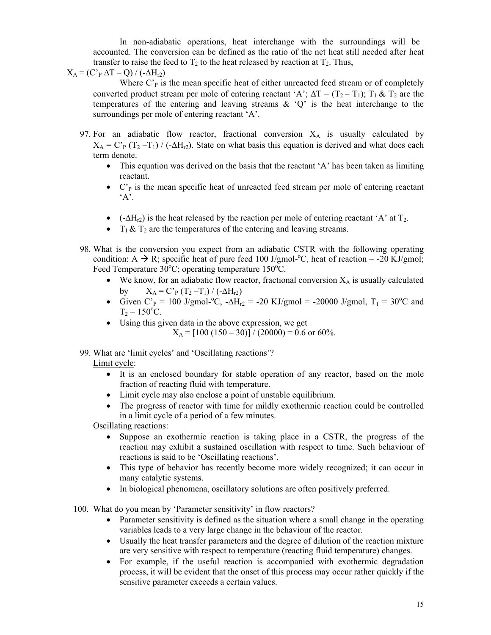In non-adiabatic operations, heat interchange with the surroundings will be accounted. The conversion can be defined as the ratio of the net heat still needed after heat transfer to raise the feed to  $T_2$  to the heat released by reaction at  $T_2$ . Thus,

 $X_A = (C'_{P} \Delta T - Q) / (-\Delta H_{r2})$ 

Where  $C<sub>P</sub>$  is the mean specific heat of either unreacted feed stream or of completely converted product stream per mole of entering reactant 'A';  $\Delta T = (T_2 - T_1)$ ;  $T_1 \& T_2$  are the temperatures of the entering and leaving streams  $\&$  'Q' is the heat interchange to the surroundings per mole of entering reactant 'A'.

- 97. For an adiabatic flow reactor, fractional conversion  $X_A$  is usually calculated by  $X_A = C'_{P}(T_2 - T_1) / (-\Delta H_{r2})$ . State on what basis this equation is derived and what does each term denote.
	- This equation was derived on the basis that the reactant 'A' has been taken as limiting reactant.
	- $\bullet$  C'<sub>P</sub> is the mean specific heat of unreacted feed stream per mole of entering reactant  $A$ .
	- $\bullet$  (- $\Delta H_{r2}$ ) is the heat released by the reaction per mole of entering reactant 'A' at T<sub>2</sub>.
	- $T_1 \& T_2$  are the temperatures of the entering and leaving streams.
- 98. What is the conversion you expect from an adiabatic CSTR with the following operating condition: A  $\rightarrow$  R; specific heat of pure feed 100 J/gmol-°C, heat of reaction = -20 KJ/gmol; Feed Temperature  $30^{\circ}$ C; operating temperature 150 $^{\circ}$ C.
	- $\bullet$  We know, for an adiabatic flow reactor, fractional conversion  $X_A$  is usually calculated by  $X_A = C'_{P}(T_2 - T_1) / (-\Delta H_{r2})$
	- Given C'<sub>P</sub> = 100 J/gmol-<sup>o</sup>C, - $\Delta H_{12}$  = -20 KJ/gmol = -20000 J/gmol, T<sub>1</sub> = 30<sup>o</sup>C and  $T_2 = 150$ <sup>o</sup>C.
	- Using this given data in the above expression, we get  $X_A = [100 (150 - 30)] / (20000) = 0.6$  or 60%.

99. What are 'limit cycles' and 'Oscillating reactions'? Limit cycle:

- It is an enclosed boundary for stable operation of any reactor, based on the mole fraction of reacting fluid with temperature.
- Limit cycle may also enclose a point of unstable equilibrium.
- The progress of reactor with time for mildly exothermic reaction could be controlled in a limit cycle of a period of a few minutes.

Oscillating reactions:

- Suppose an exothermic reaction is taking place in a CSTR, the progress of the reaction may exhibit a sustained oscillation with respect to time. Such behaviour of reactions is said to be 'Oscillating reactions'.
- This type of behavior has recently become more widely recognized; it can occur in many catalytic systems.
- In biological phenomena, oscillatory solutions are often positively preferred.

100. What do you mean by 'Parameter sensitivity' in flow reactors?

- Parameter sensitivity is defined as the situation where a small change in the operating variables leads to a very large change in the behaviour of the reactor.
- Usually the heat transfer parameters and the degree of dilution of the reaction mixture are very sensitive with respect to temperature (reacting fluid temperature) changes.
- For example, if the useful reaction is accompanied with exothermic degradation process, it will be evident that the onset of this process may occur rather quickly if the sensitive parameter exceeds a certain values.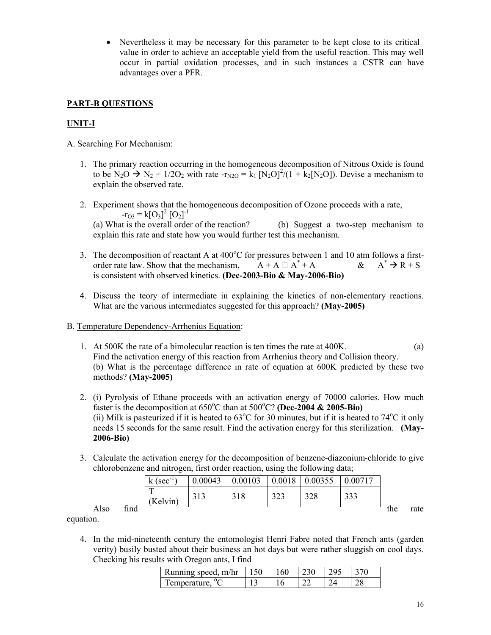Nevertheless it may be necessary for this parameter to be kept close to its critical value in order to achieve an acceptable yield from the useful reaction. This may well occur in partial oxidation processes, and in such instances a CSTR can have advantages over a PFR.

# **PART-B QUESTIONS**

# **UNIT-I**

- A. Searching For Mechanism:
	- 1. The primary reaction occurring in the homogeneous decomposition of Nitrous Oxide is found to be  $N_2O \to N_2 + 1/2O_2$  with rate -r<sub>N2O</sub> = k<sub>1</sub> [N<sub>2</sub>O]<sup>2</sup>/(1 + k<sub>2</sub>[N<sub>2</sub>O]). Devise a mechanism to explain the observed rate.
	- 2. Experiment shows that the homogeneous decomposition of Ozone proceeds with a rate,  $-r_{O3} = k[O_3]^2 [O_2]^{-1}$ (a) What is the overall order of the reaction? (b) Suggest a two-step mechanism to explain this rate and state how you would further test this mechanism.
	- 3. The decomposition of reactant A at  $400^{\circ}$ C for pressures between 1 and 10 atm follows a firstorder rate law. Show that the mechanism,  $A + A \square A^* + A$  $\&$  A<sup>\*</sup>  $\rightarrow$  R + S is consistent with observed kinetics. **(Dec-2003-Bio & May-2006-Bio)**
	- 4. Discuss the teory of intermediate in explaining the kinetics of non-elementary reactions. What are the various intermediates suggested for this approach? **(May-2005)**
- B. Temperature Dependency-Arrhenius Equation:
	- 1. At 500K the rate of a bimolecular reaction is ten times the rate at 400K. (a) Find the activation energy of this reaction from Arrhenius theory and Collision theory. (b) What is the percentage difference in rate of equation at 600K predicted by these two methods? **(May-2005)**
	- 2. (i) Pyrolysis of Ethane proceeds with an activation energy of 70000 calories. How much faster is the decomposition at 650°C than at 500°C? (Dec-2004 & 2005-Bio) (ii) Milk is pasteurized if it is heated to  $63^{\circ}$ C for 30 minutes, but if it is heated to  $74^{\circ}$ C it only needs 15 seconds for the same result. Find the activation energy for this sterilization. **(May-2006-Bio)**
	- 3. Calculate the activation energy for the decomposition of benzene-diazonium-chloride to give chlorobenzene and nitrogen, first order reaction, using the following data;

|      |      | $(sec^{-1})$<br>$\mathbf{k}$ | 0.00043      | 0.00103 | 0.0018     | 0.00355 | 0.00717 |     |      |
|------|------|------------------------------|--------------|---------|------------|---------|---------|-----|------|
|      |      | m<br>(Kelvin)                | 212<br>2 I J | 318     | 222<br>د∠د | 328     | 222     |     |      |
| Also | find |                              |              |         |            |         |         | the | rate |

equation.

4. In the mid-nineteenth century the entomologist Henri Fabre noted that French ants (garden verity) busily busted about their business an hot days but were rather sluggish on cool days. Checking his results with Oregon ants, I find

| Running speed, $m/hr$   150 | 160 | 230 | 1295 |  |
|-----------------------------|-----|-----|------|--|
| Temperature, <sup>o</sup> C |     |     |      |  |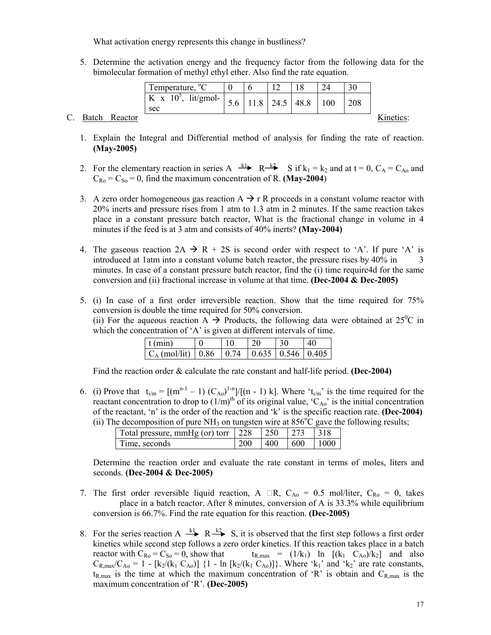What activation energy represents this change in bustliness?

5. Determine the activation energy and the frequency factor from the following data for the bimolecular formation of methyl ethyl ether. Also find the rate equation.

|                |               | Temperature, <sup>o</sup> C        |     |  |                  |     | 30  |           |
|----------------|---------------|------------------------------------|-----|--|------------------|-----|-----|-----------|
|                |               | $lit/gmol-$<br>K x $10^5$ ,<br>sec | 5.6 |  | $11.8$ 24.5 48.8 | 100 | 208 |           |
| $\mathbf{C}$ . | Batch Reactor |                                    |     |  |                  |     |     | Kinetics: |

- 1. Explain the Integral and Differential method of analysis for finding the rate of reaction. **(May-2005)**
- 2. For the elementary reaction in series A  $\stackrel{k_1}{\longrightarrow}$  R $\stackrel{k_2}{\longrightarrow}$  S if  $k_1 = k_2$  and at  $t = 0$ ,  $C_A = C_{A_0}$  and  $C_{\text{Ro}} = C_{\text{So}} = 0$ , find the maximum concentration of R. **(May-2004)**
- 3. A zero order homogeneous gas reaction  $A \rightarrow r R$  proceeds in a constant volume reactor with 20% inerts and pressure rises from 1 atm to 1.3 atm in 2 minutes. If the same reaction takes place in a constant pressure batch reactor, What is the fractional change in volume in 4 minutes if the feed is at 3 atm and consists of 40% inerts? **(May-2004)**
- 4. The gaseous reaction  $2A \rightarrow R + 2S$  is second order with respect to 'A'. If pure 'A' is introduced at 1atm into a constant volume batch reactor, the pressure rises by 40% in 3 minutes. In case of a constant pressure batch reactor, find the (i) time require4d for the same conversion and (ii) fractional increase in volume at that time. **(Dec-2004 & Dec-2005)**
- 5. (i) In case of a first order irreversible reaction. Show that the time required for 75% conversion is double the time required for 50% conversion. (ii) For the aqueous reaction  $\overrightarrow{A}$  Products, the following data were obtained at 25<sup>°</sup>C in which the concentration of 'A' is given at different intervals of time.

| $f$ (min)                                             | 10 | 30 | 40 |
|-------------------------------------------------------|----|----|----|
| $C_A$ (mol/lit)   0.86   0.74   0.635   0.546   0.405 |    |    |    |

Find the reaction order & calculate the rate constant and half-life period. **(Dec-2004)**

6. (i) Prove that  $t_{i/m} = [(m^{n-1} - 1) (C_{A0})^{1-n}]/[(n-1) k]$ . Where ' $t_{i/m}$ ' is the time required for the reactant concentration to drop to  $(1/m)$ <sup>th</sup> of its original value, 'C<sub>Ao</sub>' is the initial concentration of the reactant, 'n' is the order of the reaction and 'k' is the specific reaction rate. **(Dec-2004)** (ii) The decomposition of pure NH<sub>3</sub> on tungsten wire at  $856^{\circ}$ C gave the following results;

| Total pressure, mmHg (or) torr 228 | 1250 | 273    |       |
|------------------------------------|------|--------|-------|
| Time, seconds                      | 400  | $-600$ | -1000 |

Determine the reaction order and evaluate the rate constant in terms of moles, liters and seconds. **(Dec-2004 & Dec-2005)**

- 7. The first order reversible liquid reaction, A  $\Box R$ ,  $C_{A0} = 0.5$  mol/liter,  $C_{R0} = 0$ , takes place in a batch reactor. After 8 minutes, conversion of A is 33.3% while equilibrium conversion is 66.7%. Find the rate equation for this reaction. **(Dec-2005)**
- 8. For the series reaction A  $\stackrel{k_1}{\longrightarrow}$  R  $\stackrel{k_2}{\longrightarrow}$  S, it is observed that the first step follows a first order kinetics while second step follows a zero order kinetics. If this reaction takes place in a batch reactor with  $C_{Ro} = C_{So} = 0$ , show that  $t_{R,max} = (1/k_1)$  ln  $[(k_1 C_{Ao})/k_2]$  and also  $C_{R,\text{max}}/C_{A_0} = 1 - [k_2/(k_1 C_{A_0})]$  {1 - ln [k<sub>2</sub>/(k<sub>1</sub> C<sub>Ao</sub>)]}. Where 'k<sub>1</sub>' and 'k<sub>2</sub>' are rate constants,  $t_{R,max}$  is the time at which the maximum concentration of 'R' is obtain and  $C_{R,max}$  is the maximum concentration of 'R'. **(Dec-2005)**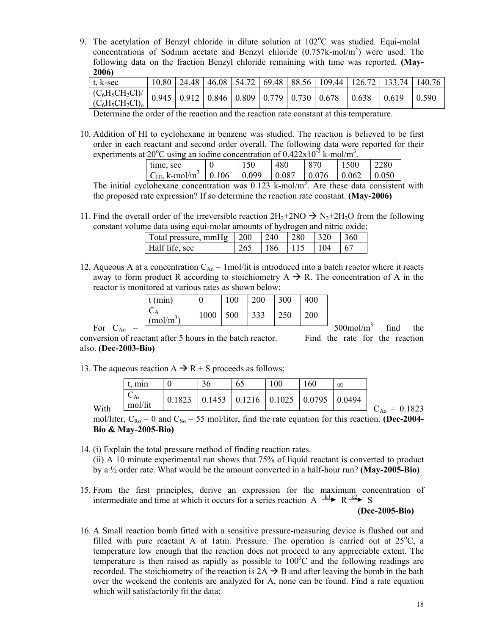9. The acetylation of Benzyl chloride in dilute solution at 102°C was studied. Equi-molal concentrations of Sodium acetate and Benzyl chloride  $(0.757 \text{k-mol/m}^3)$  were used. The following data on the fraction Benzyl chloride remaining with time was reported. **(May-2006)**

| t, k/sec                                                                                                                                                 |  |  |  | $10.80$   24.48   46.08   54.72   69.48   88.56   109.44   126.72   133.74 |       |       | 140.76 |
|----------------------------------------------------------------------------------------------------------------------------------------------------------|--|--|--|----------------------------------------------------------------------------|-------|-------|--------|
| $\left[\frac{\text{(C}_6\text{H}_3\text{CH}_2\text{Cl})}{\text{(C}_6\text{H}_3\text{CH}_2\text{Cl})_0}\right]$ 0.945 0.912 0.846 0.809 0.779 0.730 0.678 |  |  |  |                                                                            | 0.638 | 10619 | 0.590  |

Determine the order of the reaction and the reaction rate constant at this temperature.

10. Addition of HI to cyclohexane in benzene was studied. The reaction is believed to be first order in each reactant and second order overall. The following data were reported for their experiments at 20<sup>o</sup>C using an iodine concentration of  $0.422 \times 10^{3}$  k-mol/m<sup>3</sup>.

| time, sec                                    | 150       | 480   | 870   | 1500  | 2280  |
|----------------------------------------------|-----------|-------|-------|-------|-------|
| $C_{\text{HI}}$ , k-mol/m <sup>3</sup> 0.106 | 0.099     | 0.087 | 0.076 | 0.062 | 0.050 |
|                                              | - - - - - |       |       |       |       |

The initial cyclohexane concentration was  $0.123$  k-mol/m<sup>3</sup>. Are these data consistent with the proposed rate expression? If so determine the reaction rate constant. **(May-2006)**

11. Find the overall order of the irreversible reaction  $2H_2+2NO \rightarrow N_2+2H_2O$  from the following constant volume data using equi-molar amounts of hydrogen and nitric oxide;

| Total pressure, mmHg $\vert$ 200 |     | 240 | $\vert$ 280 | 1320 | 1360 |  |
|----------------------------------|-----|-----|-------------|------|------|--|
| Half life, sec                   | 265 | 186 | 115         | 104  |      |  |

12. Aqueous A at a concentration  $C_{A0} = 1$  mol/lit is introduced into a batch reactor where it reacts away to form product R according to stoichiometry  $A \rightarrow R$ . The concentration of A in the reactor is monitored at various rates as shown below;

|     |                  | (m <sub>1</sub> )       |      | 100 | 200 | 300 | 400 |                          |      |     |
|-----|------------------|-------------------------|------|-----|-----|-----|-----|--------------------------|------|-----|
|     |                  | $\cup_A$<br>$(mol/m^3)$ | 1000 | 500 | 333 | 250 | 200 |                          |      |     |
| For | $\mathcal{L}$ A0 |                         |      |     |     |     |     | $500$ mol/m <sup>3</sup> | find | the |

conversion of reactant after 5 hours in the batch reactor. Find the rate for the reaction

also. **(Dec-2003-Bio)**

13. The aqueous reaction  $A \rightarrow R + S$  proceeds as follows;

|      | min                              |        | 36                                             | 65 | 00 | 160    | $\infty$ |                        |
|------|----------------------------------|--------|------------------------------------------------|----|----|--------|----------|------------------------|
| With | $\cup$ A <sub>2</sub><br>mol/lit | 0.1823 | $\vert 0.1453 \vert 0.1216 \vert 0.1025 \vert$ |    |    | 0.0795 | 0.0494   |                        |
|      |                                  |        |                                                |    |    |        |          | $C_{Ao}$<br>$= 0.1823$ |

mol/liter,  $C_{\text{Ro}} = 0$  and  $C_{\text{So}} = 55$  mol/liter, find the rate equation for this reaction. **(Dec-2004-Bio & May-2005-Bio)**

- 14. (i) Explain the total pressure method of finding reaction rates. (ii) A 10 minute experimental run shows that 75% of liquid reactant is converted to product by a ½ order rate. What would be the amount converted in a half-hour run? **(May-2005-Bio)**
- 15. From the first principles, derive an expression for the maximum concentration of intermediate and time at which it occurs for a series reaction A  $x \rightarrow k \rightarrow R^2$  S

**(Dec-2005-Bio)**

16. A Small reaction bomb fitted with a sensitive pressure-measuring device is flushed out and filled with pure reactant A at 1atm. Pressure. The operation is carried out at  $25^{\circ}$ C, a temperature low enough that the reaction does not proceed to any appreciable extent. The temperature is then raised as rapidly as possible to  $100^{\circ}$ C and the following readings are recorded. The stoichiometry of the reaction is  $2A \rightarrow B$  and after leaving the bomb in the bath over the weekend the contents are analyzed for A, none can be found. Find a rate equation which will satisfactorily fit the data;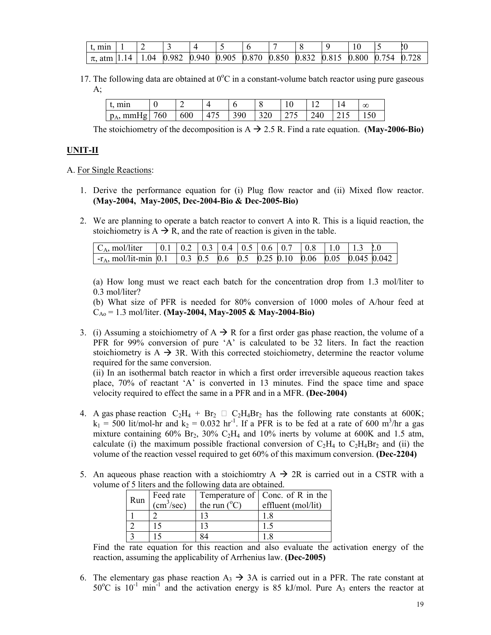| min                                                                                                                 |  |  |  |  |  |  |
|---------------------------------------------------------------------------------------------------------------------|--|--|--|--|--|--|
| $\frac{1}{\pi}$ , atm   1.14   1.04   0.982   0.940   0.905   0.870   0.850   0.832   0.815   0.800   0.754   0.728 |  |  |  |  |  |  |

17. The following data are obtained at  $0^{\circ}$ C in a constant-volume batch reactor using pure gaseous  $A$ ;

| min<br>. .              |     |     |       |     |     |     |      | $\infty$ |
|-------------------------|-----|-----|-------|-----|-----|-----|------|----------|
| $mm$ Hg $\mid$<br>$p_A$ | 760 | 600 | T / J | 390 | 320 | 240 | 21 J |          |

The stoichiometry of the decomposition is  $A \rightarrow 2.5$  R. Find a rate equation. **(May-2006-Bio)** 

# **UNIT-II**

### A. For Single Reactions:

- 1. Derive the performance equation for (i) Plug flow reactor and (ii) Mixed flow reactor. **(May-2004, May-2005, Dec-2004-Bio & Dec-2005-Bio)**
- 2. We are planning to operate a batch reactor to convert A into R. This is a liquid reaction, the stoichiometry is  $A \rightarrow R$ , and the rate of reaction is given in the table.

| $C_A$ , mol/liter                                                                         |  |  |  |  | $\vert 0.1 \vert 0.2 \vert 0.3 \vert 0.4 \vert 0.5 \vert 0.6 \vert 0.7 \vert 0.8 \vert 1.0 \vert 1.3 \vert 0.0$ |  |
|-------------------------------------------------------------------------------------------|--|--|--|--|-----------------------------------------------------------------------------------------------------------------|--|
| $\vert$ -r <sub>A</sub> , mol/lit-min 0.1 0.3 0.5 0.6 0.5 0.25 0.10 0.06 0.05 0.045 0.042 |  |  |  |  |                                                                                                                 |  |

(a) How long must we react each batch for the concentration drop from 1.3 mol/liter to 0.3 mol/liter?

(b) What size of PFR is needed for 80% conversion of 1000 moles of A/hour feed at CAo = 1.3 mol/liter. **(May-2004, May-2005 & May-2004-Bio)**

3. (i) Assuming a stoichiometry of  $A \rightarrow R$  for a first order gas phase reaction, the volume of a PFR for 99% conversion of pure 'A' is calculated to be 32 liters. In fact the reaction stoichiometry is  $A \rightarrow 3R$ . With this corrected stoichiometry, determine the reactor volume required for the same conversion.

(ii) In an isothermal batch reactor in which a first order irreversible aqueous reaction takes place, 70% of reactant 'A' is converted in 13 minutes. Find the space time and space velocity required to effect the same in a PFR and in a MFR. **(Dec-2004)**

- 4. A gas phase reaction  $C_2H_4 + Br_2 \square C_2H_4Br_2$  has the following rate constants at 600K;  $k_1$  = 500 lit/mol-hr and  $k_2$  = 0.032 hr<sup>-1</sup>. If a PFR is to be fed at a rate of 600 m<sup>3</sup>/hr a gas mixture containing  $60\%$  Br<sub>2</sub>,  $30\%$  C<sub>2</sub>H<sub>4</sub> and  $10\%$  inerts by volume at  $600K$  and 1.5 atm, calculate (i) the maximum possible fractional conversion of  $C_2H_4$  to  $C_2H_4Br_2$  and (ii) the volume of the reaction vessel required to get 60% of this maximum conversion. **(Dec-2204)**
- 5. An aqueous phase reaction with a stoichiomtry  $A \rightarrow 2R$  is carried out in a CSTR with a volume of 5 liters and the following data are obtained.

| Run | Feed rate              |                       | Temperature of Conc. of R in the |
|-----|------------------------|-----------------------|----------------------------------|
|     | (cm <sup>3</sup> /sec) | the run $(^{\circ}C)$ | effluent (mol/lit)               |
|     |                        |                       |                                  |
|     |                        |                       |                                  |
|     |                        |                       |                                  |

Find the rate equation for this reaction and also evaluate the activation energy of the reaction, assuming the applicability of Arrhenius law. **(Dec-2005)**

6. The elementary gas phase reaction  $A_3 \rightarrow 3A$  is carried out in a PFR. The rate constant at  $50^{\circ}$ C is  $10^{-1}$  min<sup>-1</sup> and the activation energy is 85 kJ/mol. Pure A<sub>3</sub> enters the reactor at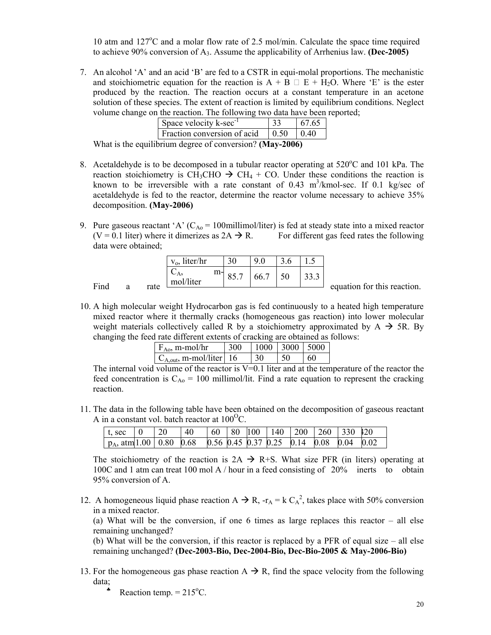10 atm and 127°C and a molar flow rate of 2.5 mol/min. Calculate the space time required to achieve 90% conversion of A3. Assume the applicability of Arrhenius law. **(Dec-2005)**

7. An alcohol 'A' and an acid 'B' are fed to a CSTR in equi-molal proportions. The mechanistic and stoichiometric equation for the reaction is  $A + B \square E + H_2O$ . Where 'E' is the ester produced by the reaction. The reaction occurs at a constant temperature in an acetone solution of these species. The extent of reaction is limited by equilibrium conditions. Neglect volume change on the reaction. The following two data have been reported;

| Space velocity k-sec <sup>-1</sup>                                    | 67.65 |
|-----------------------------------------------------------------------|-------|
| Fraction conversion of acid $\begin{array}{ l} 0.50 \end{array}$ 0.40 |       |
| $1 \cdot 1$ $0 \cdot 3000$                                            |       |

What is the equilibrium degree of conversion? **(May-2006)**

- 8. Acetaldehyde is to be decomposed in a tubular reactor operating at  $520^{\circ}$ C and 101 kPa. The reaction stoichiometry is CH<sub>3</sub>CHO  $\rightarrow$  CH<sub>4</sub> + CO. Under these conditions the reaction is known to be irreversible with a rate constant of  $0.43 \text{ m}^3/\text{kmol-sec}$ . If  $0.1 \text{ kg/sec of}$ acetaldehyde is fed to the reactor, determine the reactor volume necessary to achieve 35% decomposition. **(May-2006)**
- 9. Pure gaseous reactant 'A'  $(C_{A_0} = 100$ millimol/liter) is fed at steady state into a mixed reactor  $(V = 0.1)$  liter) where it dimerizes as  $2A \rightarrow R$ . For different gas feed rates the following data were obtained;

|      |   |      | $v_0$ , liter/hr |    | 30   | 9.0       |      |                             |
|------|---|------|------------------|----|------|-----------|------|-----------------------------|
| Find |   |      | mol/liter        | m- | 85.7 | $66.7$ 50 | 33.3 |                             |
|      | a | rate |                  |    |      |           |      | equation for this reaction. |

10. A high molecular weight Hydrocarbon gas is fed continuously to a heated high temperature mixed reactor where it thermally cracks (homogeneous gas reaction) into lower molecular weight materials collectively called R by a stoichiometry approximated by  $A \rightarrow 5R$ . By changing the feed rate different extents of cracking are obtained as follows:

| $F_{A0}$ , m-mol/hr            | 300 | $1000$   3000   5000 |    |    |
|--------------------------------|-----|----------------------|----|----|
| $C_{A,out}$ , m-mol/liter   16 |     |                      | 50 | 60 |

The internal void volume of the reactor is  $V=0.1$  liter and at the temperature of the reactor the feed concentration is  $C_{A_0} = 100$  millimol/lit. Find a rate equation to represent the cracking reaction.

11. The data in the following table have been obtained on the decomposition of gaseous reactant A in a constant vol. batch reactor at  $100^{\circ}$ C.

| $t, \sec \ 0$                                                                                    | $\vert$ 20 | -40 |  |  |  | $\mid 60 \mid 80 \mid 100 \mid 140 \mid 200 \mid 260 \mid 330 \mid 20$ |  |
|--------------------------------------------------------------------------------------------------|------------|-----|--|--|--|------------------------------------------------------------------------|--|
| $\vert$ p <sub>A</sub> , atm <sup>[1.00]</sup> 0.80 0.68 0.56 0.45 0.37 0.25 0.14 0.08 0.04 0.02 |            |     |  |  |  |                                                                        |  |

The stoichiometry of the reaction is  $2A \rightarrow R+S$ . What size PFR (in liters) operating at 100C and 1 atm can treat 100 mol A / hour in a feed consisting of 20% inerts to obtain 95% conversion of A.

12. A homogeneous liquid phase reaction A  $\rightarrow$  R, -r<sub>A</sub> = k C<sub>A</sub><sup>2</sup>, takes place with 50% conversion in a mixed reactor.

(a) What will be the conversion, if one 6 times as large replaces this reactor – all else remaining unchanged?

(b) What will be the conversion, if this reactor is replaced by a PFR of equal size – all else remaining unchanged? **(Dec-2003-Bio, Dec-2004-Bio, Dec-Bio-2005 & May-2006-Bio)**

- 13. For the homogeneous gas phase reaction  $A \rightarrow R$ , find the space velocity from the following data;
	- \* Reaction temp.  $= 215^{\circ}$ C.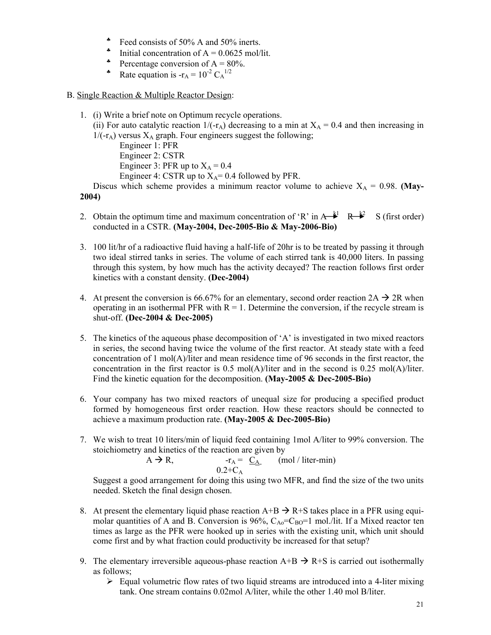- Feed consists of 50% A and 50% inerts.
- Initial concentration of  $A = 0.0625$  mol/lit.
- Percentage conversion of  $A = 80\%$ .
- Rate equation is  $-r_A = 10^{-2} C_A^{1/2}$
- B. Single Reaction & Multiple Reactor Design:
	- 1. (i) Write a brief note on Optimum recycle operations.
		- (ii) For auto catalytic reaction  $1/(-r_A)$  decreasing to a min at  $X_A = 0.4$  and then increasing in  $1/(-r_A)$  versus  $X_A$  graph. Four engineers suggest the following;

Engineer 1: PFR Engineer 2: CSTR Engineer 3: PFR up to  $X_A = 0.4$ 

Engineer 4: CSTR up to  $X_A$ = 0.4 followed by PFR.

Discus which scheme provides a minimum reactor volume to achieve  $X_A = 0.98$ . **(May-2004)**

- 2. Obtain the optimum time and maximum concentration of 'R' in  $A \rightarrow k^1$  R  $\rightarrow k^2$  S (first order) conducted in a CSTR. **(May-2004, Dec-2005-Bio & May-2006-Bio)**
- 3. 100 lit/hr of a radioactive fluid having a half-life of 20hr is to be treated by passing it through two ideal stirred tanks in series. The volume of each stirred tank is 40,000 liters. In passing through this system, by how much has the activity decayed? The reaction follows first order kinetics with a constant density. **(Dec-2004)**
- 4. At present the conversion is 66.67% for an elementary, second order reaction  $2A \rightarrow 2R$  when operating in an isothermal PFR with  $R = 1$ . Determine the conversion, if the recycle stream is shut-off. **(Dec-2004 & Dec-2005)**
- 5. The kinetics of the aqueous phase decomposition of  $A$  is investigated in two mixed reactors in series, the second having twice the volume of the first reactor. At steady state with a feed concentration of 1 mol(A)/liter and mean residence time of 96 seconds in the first reactor, the concentration in the first reactor is 0.5 mol(A)/liter and in the second is 0.25 mol(A)/liter. Find the kinetic equation for the decomposition. **(May-2005 & Dec-2005-Bio)**
- 6. Your company has two mixed reactors of unequal size for producing a specified product formed by homogeneous first order reaction. How these reactors should be connected to achieve a maximum production rate. **(May-2005 & Dec-2005-Bio)**
- 7. We wish to treat 10 liters/min of liquid feed containing 1mol A/liter to 99% conversion. The stoichiometry and kinetics of the reaction are given by

 $A \rightarrow R$ ,  $-r_A = C_A$  (mol / liter-min)  $0.2+C_A$ 

Suggest a good arrangement for doing this using two MFR, and find the size of the two units needed. Sketch the final design chosen.

- 8. At present the elementary liquid phase reaction  $A+B \rightarrow R+S$  takes place in a PFR using equimolar quantities of A and B. Conversion is 96%,  $C_{A0} = C_{B0} = 1$  mol./lit. If a Mixed reactor ten times as large as the PFR were hooked up in series with the existing unit, which unit should come first and by what fraction could productivity be increased for that setup?
- 9. The elementary irreversible aqueous-phase reaction  $A+B \rightarrow R+S$  is carried out isothermally as follows;
	- $\triangleright$  Equal volumetric flow rates of two liquid streams are introduced into a 4-liter mixing tank. One stream contains 0.02mol A/liter, while the other 1.40 mol B/liter.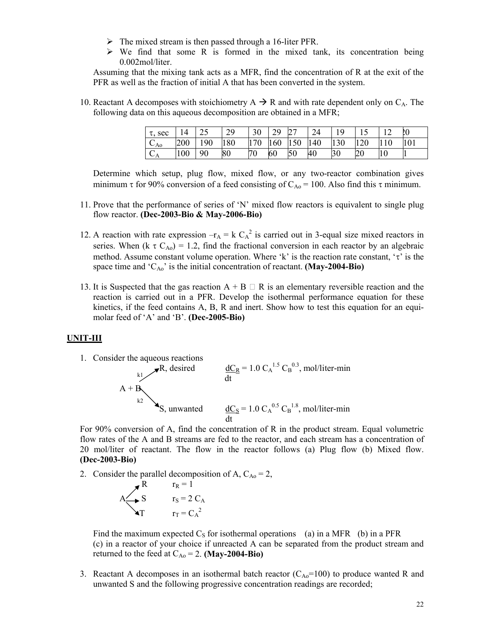- $\triangleright$  The mixed stream is then passed through a 16-liter PFR.
- $\triangleright$  We find that some R is formed in the mixed tank, its concentration being 0.002mol/liter.

Assuming that the mixing tank acts as a MFR, find the concentration of R at the exit of the PFR as well as the fraction of initial A that has been converted in the system.

10. Reactant A decomposes with stoichiometry  $A \rightarrow R$  and with rate dependent only on  $C_A$ . The following data on this aqueous decomposition are obtained in a MFR;

| sec<br>τ.                               | 14  | $\overline{\phantom{a}}$ | 29  | 30  | 29<br>∠ フ |     | 24  | 10  |     | 1 <sub>0</sub><br>$\sqrt{2}$ | LO  |
|-----------------------------------------|-----|--------------------------|-----|-----|-----------|-----|-----|-----|-----|------------------------------|-----|
| $\sqrt{ }$<br>$\mathcal{L}_{\text{A0}}$ | 200 | 190                      | 180 | 170 | 160       | 150 | 140 | 130 | 120 | 110                          | 101 |
| $\cap$<br>$C_{\rm A}$                   | 100 | 90                       | 80  | 70  | 60        | 50  | 40  | 30  | 20  | 10                           |     |

Determine which setup, plug flow, mixed flow, or any two-reactor combination gives minimum  $\tau$  for 90% conversion of a feed consisting of C<sub>Ao</sub> = 100. Also find this  $\tau$  minimum.

- 11. Prove that the performance of series of 'N' mixed flow reactors is equivalent to single plug flow reactor. **(Dec-2003-Bio & May-2006-Bio)**
- 12. A reaction with rate expression  $-r_A = k C_A^2$  is carried out in 3-equal size mixed reactors in series. When (k  $\tau C_{A0}$ ) = 1.2, find the fractional conversion in each reactor by an algebraic method. Assume constant volume operation. Where 'k' is the reaction rate constant, ' $\tau$ ' is the space time and 'CAo' is the initial concentration of reactant. **(May-2004-Bio)**
- 13. It is Suspected that the gas reaction  $A + B \square R$  is an elementary reversible reaction and the reaction is carried out in a PFR. Develop the isothermal performance equation for these kinetics, if the feed contains A, B, R and inert. Show how to test this equation for an equimolar feed of 'A' and 'B'. **(Dec-2005-Bio)**

### **UNIT-III**



For 90% conversion of A, find the concentration of R in the product stream. Equal volumetric flow rates of the A and B streams are fed to the reactor, and each stream has a concentration of 20 mol/liter of reactant. The flow in the reactor follows (a) Plug flow (b) Mixed flow. **(Dec-2003-Bio)**

2. Consider the parallel decomposition of A,  $C_{A0} = 2$ ,

$$
A \n\begin{matrix}\nR & r_R = 1 \\
S & r_S = 2 C_A \\
T & r_T = C_A^2\n\end{matrix}
$$

Find the maximum expected  $C_S$  for isothermal operations (a) in a MFR (b) in a PFR (c) in a reactor of your choice if unreacted A can be separated from the product stream and returned to the feed at  $C_{Ao} = 2$ . **(May-2004-Bio)** 

3. Reactant A decomposes in an isothermal batch reactor  $(C_{A0}=100)$  to produce wanted R and unwanted S and the following progressive concentration readings are recorded;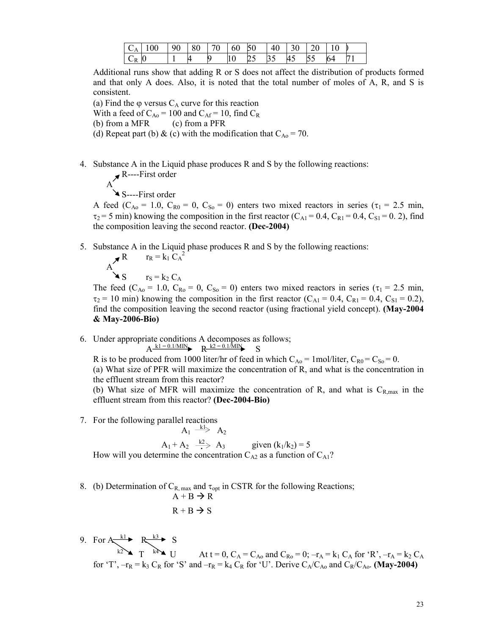|       | $C_A   100$ | $\vert 90 \vert 80 \vert 70 \vert 60 \vert 50$ |   |    | 40 30 20 |    |    |    |    |
|-------|-------------|------------------------------------------------|---|----|----------|----|----|----|----|
| $C_R$ | 0           | И                                              | 9 | 25 | 35       | 45 | 55 | 64 | 71 |

Additional runs show that adding R or S does not affect the distribution of products formed and that only A does. Also, it is noted that the total number of moles of A, R, and S is consistent.

(a) Find the  $\varphi$  versus  $C_A$  curve for this reaction

With a feed of  $C_{Ao}$  = 100 and  $C_{Af}$  = 10, find  $C_R$ 

(b) from a MFR (c) from a PFR

(d) Repeat part (b) & (c) with the modification that  $C_{A0} = 70$ .

4. Substance A in the Liquid phase produces R and S by the following reactions:

 R----First order A

$$
\sum_{i=1}^{n} S_{i} = -F
$$

A feed ( $C_{A0} = 1.0$ ,  $C_{R0} = 0$ ,  $C_{S0} = 0$ ) enters two mixed reactors in series ( $\tau_1 = 2.5$  min,  $\tau_2$  = 5 min) knowing the composition in the first reactor (C<sub>A1</sub> = 0.4, C<sub>R1</sub> = 0.4, C<sub>S1</sub> = 0.2), find the composition leaving the second reactor. **(Dec-2004)**

5. Substance A in the Liquid phase produces R and S by the following reactions: 2

$$
A \n\begin{matrix}\nR & r_R = k_1 C_A \\
S & r_S = k_2 C_A\n\end{matrix}
$$

The feed (C<sub>Ao</sub> = 1.0, C<sub>Ro</sub> = 0, C<sub>So</sub> = 0) enters two mixed reactors in series ( $\tau_1$  = 2.5 min,  $\tau_2$  = 10 min) knowing the composition in the first reactor (C<sub>A1</sub> = 0.4, C<sub>R1</sub> = 0.4, C<sub>S1</sub> = 0.2), find the composition leaving the second reactor (using fractional yield concept). **(May-2004 & May-2006-Bio)**

6. Under appropriate conditions A decomposes as follows;  $A \frac{k1 = 0.1/MIN}{R}$  R  $k2 = 0.1/MIN$  S

R is to be produced from 1000 liter/hr of feed in which  $C_{A0} = 1$  mol/liter,  $C_{R0} = C_{S0} = 0$ . (a) What size of PFR will maximize the concentration of R, and what is the concentration in the effluent stream from this reactor?

(b) What size of MFR will maximize the concentration of R, and what is  $C_{R,max}$  in the effluent stream from this reactor? **(Dec-2004-Bio)**

7. For the following parallel reactions

$$
A_1 \xrightarrow{k_1} A_2
$$
  
\n
$$
A_1 + A_2 \xrightarrow{k_2} A_3
$$
 given  $(k_1/k_2) = 5$ 

How will you determine the concentration  $C_{A2}$  as a function of  $C_{A1}$ ?

8. (b) Determination of  $C_{R, max}$  and  $\tau_{opt}$  in CSTR for the following Reactions;

$$
A + B \rightarrow R
$$
  
R + B  $\rightarrow$  S

9. For  $A \xrightarrow{k1} R \xrightarrow{k3} S$ <br> $T \xrightarrow{k4} U$ At t = 0, C<sub>A</sub> = C<sub>Ao</sub> and C<sub>Ro</sub> = 0; –r<sub>A</sub> = k<sub>1</sub> C<sub>A</sub> for 'R', –r<sub>A</sub> = k<sub>2</sub> C<sub>A</sub> for 'T',  $-r_R = k_3 C_R$  for 'S' and  $-r_R = k_4 C_R$  for 'U'. Derive  $C_A/C_{A_0}$  and  $C_R/C_{A_0}$ . (May-2004)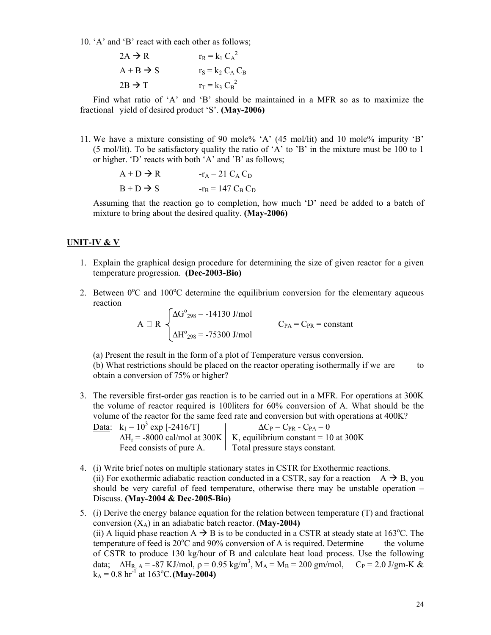10. 'A' and 'B' react with each other as follows;

| $2A \rightarrow R$    | $r_R = k_1 C_A^2$   |
|-----------------------|---------------------|
| $A + B \rightarrow S$ | $r_S = k_2 C_A C_B$ |
| $2B \rightarrow T$    | $r_T = k_3 C_B^2$   |

Find what ratio of 'A' and 'B' should be maintained in a MFR so as to maximize the fractional yield of desired product 'S'. **(May-2006)**

11. We have a mixture consisting of 90 mole% 'A' (45 mol/lit) and 10 mole% impurity 'B' (5 mol/lit). To be satisfactory quality the ratio of 'A' to 'B' in the mixture must be 100 to 1 or higher. 'D' reacts with both 'A' and 'B' as follows;

$$
A + D \rightarrow R \qquad \qquad -r_A = 21 C_A C_D
$$
  

$$
B + D \rightarrow S \qquad \qquad -r_B = 147 C_B C_D
$$

Assuming that the reaction go to completion, how much 'D' need be added to a batch of mixture to bring about the desired quality. **(May-2006)**

### **UNIT-IV & V**

- 1. Explain the graphical design procedure for determining the size of given reactor for a given temperature progression. **(Dec-2003-Bio)**
- 2. Between  $0^{\circ}$ C and  $100^{\circ}$ C determine the equilibrium conversion for the elementary aqueous reaction

$$
A \Box R \begin{cases} \Delta G^{o}_{298} = -14130 \text{ J/mol} \\ \Delta H^{o}_{298} = -75300 \text{ J/mol} \end{cases} C_{PA} = C_{PR} = \text{constant}
$$

(a) Present the result in the form of a plot of Temperature versus conversion.

(b) What restrictions should be placed on the reactor operating isothermally if we are to obtain a conversion of 75% or higher?

3. The reversible first-order gas reaction is to be carried out in a MFR. For operations at 300K the volume of reactor required is 100liters for 60% conversion of A. What should be the volume of the reactor for the same feed rate and conversion but with operations at 400K?

| <u>Data</u> : $k_1 = 10^3$ exp [-2416/T] | $\Delta C_{P} = C_{PR} - C_{PA} = 0$                                        |
|------------------------------------------|-----------------------------------------------------------------------------|
|                                          | $\Delta H_r$ = -8000 cal/mol at 300K   K, equilibrium constant = 10 at 300K |
| Feed consists of pure A.                 | 1 Total pressure stays constant.                                            |

- 4. (i) Write brief notes on multiple stationary states in CSTR for Exothermic reactions. (ii) For exothermic adiabatic reaction conducted in a CSTR, say for a reaction  $A \rightarrow B$ , you should be very careful of feed temperature, otherwise there may be unstable operation – Discuss. **(May-2004 & Dec-2005-Bio)**
- 5. (i) Derive the energy balance equation for the relation between temperature (T) and fractional conversion  $(X_A)$  in an adiabatic batch reactor. **(May-2004)** (ii) A liquid phase reaction  $A \rightarrow B$  is to be conducted in a CSTR at steady state at 163<sup>o</sup>C. The temperature of feed is  $20^{\circ}$ C and  $90\%$  conversion of A is required. Determine the volume of CSTR to produce 130 kg/hour of B and calculate heat load process. Use the following data;  $\Delta H_{R, A} = -87 \text{ KJ/mol}, \rho = 0.95 \text{ kg/m}^3, M_A = M_B = 200 \text{ gm/mol}, C_P = 2.0 \text{ J/gm-K} \&$  $k_A = 0.8$  hr<sup>-1</sup> at 163<sup>o</sup>C. (**May-2004**)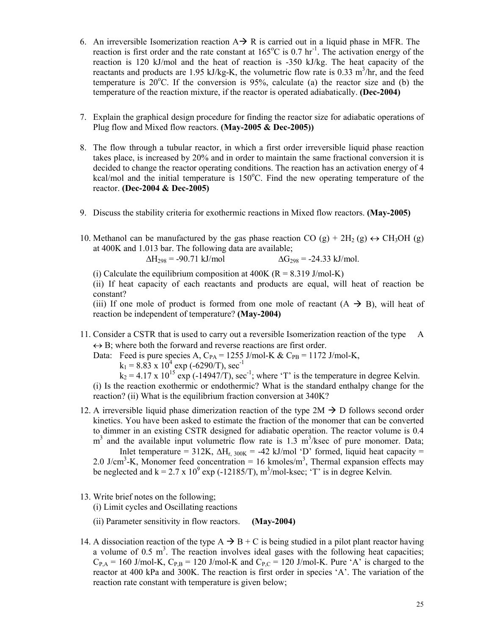- 6. An irreversible Isomerization reaction  $A \rightarrow R$  is carried out in a liquid phase in MFR. The reaction is first order and the rate constant at  $165^{\circ}$ C is 0.7 hr<sup>-1</sup>. The activation energy of the reaction is 120 kJ/mol and the heat of reaction is -350 kJ/kg. The heat capacity of the reactants and products are 1.95 kJ/kg-K, the volumetric flow rate is 0.33  $m<sup>3</sup>/hr$ , and the feed temperature is  $20^{\circ}$ C. If the conversion is 95%, calculate (a) the reactor size and (b) the temperature of the reaction mixture, if the reactor is operated adiabatically. **(Dec-2004)**
- 7. Explain the graphical design procedure for finding the reactor size for adiabatic operations of Plug flow and Mixed flow reactors. **(May-2005 & Dec-2005))**
- 8. The flow through a tubular reactor, in which a first order irreversible liquid phase reaction takes place, is increased by 20% and in order to maintain the same fractional conversion it is decided to change the reactor operating conditions. The reaction has an activation energy of 4 kcal/mol and the initial temperature is 150°C. Find the new operating temperature of the reactor. **(Dec-2004 & Dec-2005)**
- 9. Discuss the stability criteria for exothermic reactions in Mixed flow reactors. **(May-2005)**
- 10. Methanol can be manufactured by the gas phase reaction CO (g) +  $2H_2$  (g)  $\leftrightarrow$  CH<sub>3</sub>OH (g) at 400K and 1.013 bar. The following data are available;

$$
\Delta H_{298} = -90.71 \text{ kJ/mol}
$$
  $\Delta G_{298} = -24.33 \text{ kJ/mol}.$ 

(i) Calculate the equilibrium composition at 400K ( $R = 8.319$  J/mol-K)

(ii) If heat capacity of each reactants and products are equal, will heat of reaction be constant?

(iii) If one mole of product is formed from one mole of reactant  $(A \rightarrow B)$ , will heat of reaction be independent of temperature? **(May-2004)**

11. Consider a CSTR that is used to carry out a reversible Isomerization reaction of the type A  $\leftrightarrow$  B; where both the forward and reverse reactions are first order.

Data: Feed is pure species A,  $C_{PA}$  = 1255 J/mol-K &  $C_{PB}$  = 1172 J/mol-K,  $k_1 = 8.83 \times 10^4 \exp(-6290/T)$ , sec<sup>-1</sup>

 $k_2 = 4.17$  x  $10^{15}$  exp (-14947/T), sec<sup>-1</sup>; where 'T' is the temperature in degree Kelvin. (i) Is the reaction exothermic or endothermic? What is the standard enthalpy change for the reaction? (ii) What is the equilibrium fraction conversion at 340K?

12. A irreversible liquid phase dimerization reaction of the type  $2M \rightarrow D$  follows second order kinetics. You have been asked to estimate the fraction of the monomer that can be converted to dimmer in an existing CSTR designed for adiabatic operation. The reactor volume is 0.4  $m<sup>3</sup>$  and the available input volumetric flow rate is 1.3  $m<sup>3</sup>/k$ sec of pure monomer. Data;

Inlet temperature = 312K,  $\Delta H_{r, 300K}$  = -42 kJ/mol 'D' formed, liquid heat capacity = 2.0 J/cm<sup>3</sup>-K, Monomer feed concentration = 16 kmoles/m<sup>3</sup>, Thermal expansion effects may be neglected and  $k = 2.7 \times 10^9$  exp (-12185/T), m<sup>3</sup>/mol-ksec; 'T' is in degree Kelvin.

13. Write brief notes on the following;

(i) Limit cycles and Oscillating reactions

(ii) Parameter sensitivity in flow reactors. **(May-2004)**

14. A dissociation reaction of the type  $A \rightarrow B + C$  is being studied in a pilot plant reactor having a volume of  $0.5 \text{ m}^3$ . The reaction involves ideal gases with the following heat capacities;  $C_{P,A}$  = 160 J/mol-K,  $C_{P,B}$  = 120 J/mol-K and  $C_{P,C}$  = 120 J/mol-K. Pure 'A' is charged to the reactor at 400 kPa and 300K. The reaction is first order in species 'A'. The variation of the reaction rate constant with temperature is given below;